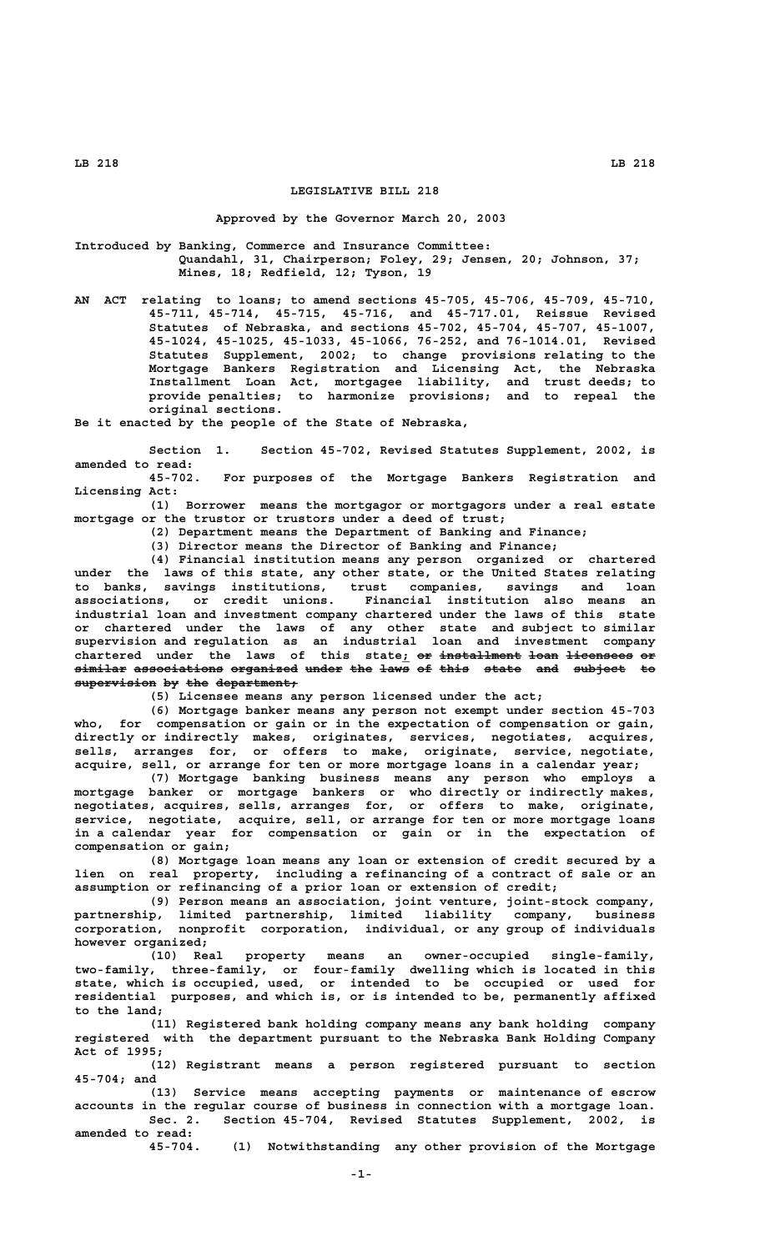## **LEGISLATIVE BILL 218**

## **Approved by the Governor March 20, 2003**

**Introduced by Banking, Commerce and Insurance Committee: Quandahl, 31, Chairperson; Foley, 29; Jensen, 20; Johnson, 37; Mines, 18; Redfield, 12; Tyson, 19**

**AN ACT relating to loans; to amend sections 45-705, 45-706, 45-709, 45-710, 45-711, 45-714, 45-715, 45-716, and 45-717.01, Reissue Revised Statutes of Nebraska, and sections 45-702, 45-704, 45-707, 45-1007, 45-1024, 45-1025, 45-1033, 45-1066, 76-252, and 76-1014.01, Revised Statutes Supplement, 2002; to change provisions relating to the Mortgage Bankers Registration and Licensing Act, the Nebraska Installment Loan Act, mortgagee liability, and trust deeds; to provide penalties; to harmonize provisions; and to repeal the original sections.**

**Be it enacted by the people of the State of Nebraska,**

**Section 1. Section 45-702, Revised Statutes Supplement, 2002, is amended to read:**

**45-702. For purposes of the Mortgage Bankers Registration and Licensing Act:**

**(1) Borrower means the mortgagor or mortgagors under a real estate mortgage or the trustor or trustors under a deed of trust;**

**(2) Department means the Department of Banking and Finance;**

**(3) Director means the Director of Banking and Finance;**

**(4) Financial institution means any person organized or chartered under the laws of this state, any other state, or the United States relating to banks, savings institutions, trust companies, savings and loan associations, or credit unions. Financial institution also means an industrial loan and investment company chartered under the laws of this state or chartered under the laws of any other state and subject to similar supervision and regulation as an industrial loan and investment company** chartered under the laws of this state; or installment loan licensees or **similar associations organized under the laws of this state and subject to ——————— ———————————— ————————— ————— ——— ———— —— ———— ————— ——— ——————— ——**  $\substack{\text{supervision by the department}}$ 

**(5) Licensee means any person licensed under the act;**

**(6) Mortgage banker means any person not exempt under section 45-703 who, for compensation or gain or in the expectation of compensation or gain, directly or indirectly makes, originates, services, negotiates, acquires, sells, arranges for, or offers to make, originate, service, negotiate, acquire, sell, or arrange for ten or more mortgage loans in a calendar year;**

**(7) Mortgage banking business means any person who employs a mortgage banker or mortgage bankers or who directly or indirectly makes, negotiates, acquires, sells, arranges for, or offers to make, originate, service, negotiate, acquire, sell, or arrange for ten or more mortgage loans in a calendar year for compensation or gain or in the expectation of compensation or gain;**

**(8) Mortgage loan means any loan or extension of credit secured by a lien on real property, including a refinancing of a contract of sale or an assumption or refinancing of a prior loan or extension of credit;**

**(9) Person means an association, joint venture, joint-stock company, partnership, limited partnership, limited liability company, business corporation, nonprofit corporation, individual, or any group of individuals however organized;**

**(10) Real property means an owner-occupied single-family, two-family, three-family, or four-family dwelling which is located in this state, which is occupied, used, or intended to be occupied or used for residential purposes, and which is, or is intended to be, permanently affixed to the land;**

**(11) Registered bank holding company means any bank holding company registered with the department pursuant to the Nebraska Bank Holding Company Act of 1995;**

**(12) Registrant means a person registered pursuant to section 45-704; and**

**(13) Service means accepting payments or maintenance of escrow accounts in the regular course of business in connection with a mortgage loan. Sec. 2. Section 45-704, Revised Statutes Supplement, 2002, is**

**amended to read:**

**45-704. (1) Notwithstanding any other provision of the Mortgage**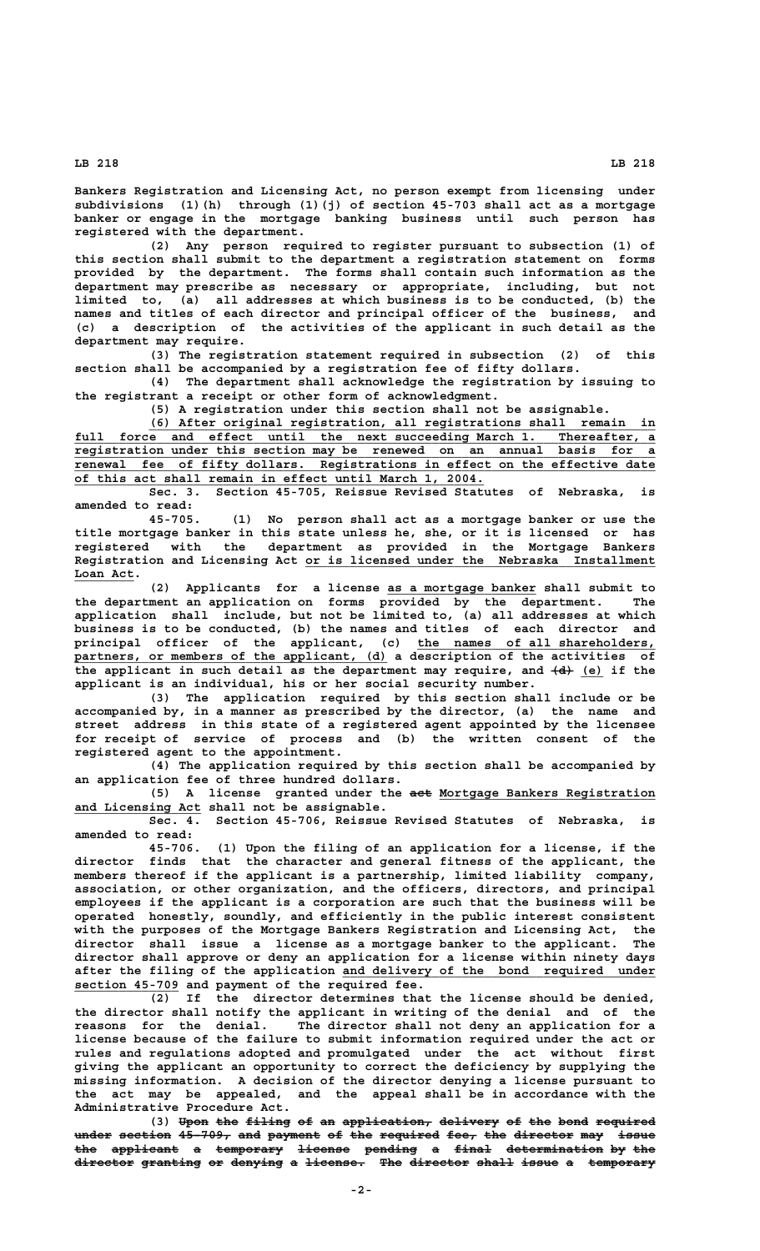**Bankers Registration and Licensing Act, no person exempt from licensing under subdivisions (1)(h) through (1)(j) of section 45-703 shall act as a mortgage banker or engage in the mortgage banking business until such person has registered with the department.**

**(2) Any person required to register pursuant to subsection (1) of this section shall submit to the department a registration statement on forms provided by the department. The forms shall contain such information as the department may prescribe as necessary or appropriate, including, but not limited to, (a) all addresses at which business is to be conducted, (b) the names and titles of each director and principal officer of the business, and (c) a description of the activities of the applicant in such detail as the department may require.**

**(3) The registration statement required in subsection (2) of this section shall be accompanied by a registration fee of fifty dollars.**

**(4) The department shall acknowledge the registration by issuing to the registrant a receipt or other form of acknowledgment.**

**(5) A registration under this section shall not be assignable.**

 **\_\_\_\_\_\_\_\_\_\_\_\_\_\_\_\_\_\_\_\_\_\_\_\_\_\_\_\_\_\_\_\_\_\_\_\_\_\_\_\_\_\_\_\_\_\_\_\_\_\_\_\_\_\_\_\_\_\_\_\_\_\_\_\_\_\_\_\_ (6) After original registration, all registrations shall remain in** full force and effect until the next succeeding March 1. Thereafter, a  **\_\_\_\_\_\_\_\_\_\_\_\_\_\_\_\_\_\_\_\_\_\_\_\_\_\_\_\_\_\_\_\_\_\_\_\_\_\_\_\_\_\_\_\_\_\_\_\_\_\_\_\_\_\_\_\_\_\_\_\_\_\_\_\_\_\_\_\_\_\_\_\_\_\_\_\_\_\_ registration under this section may be renewed on an annual basis for a** renewal fee of fifty dollars. Registrations in effect on the effective date  **\_\_\_\_\_\_\_\_\_\_\_\_\_\_\_\_\_\_\_\_\_\_\_\_\_\_\_\_\_\_\_\_\_\_\_\_\_\_\_\_\_\_\_\_\_\_\_\_\_\_\_\_\_\_\_ of this act shall remain in effect until March 1, 2004.**

> **Sec. 3. Section 45-705, Reissue Revised Statutes of Nebraska, is amended to read:**

> **45-705. (1) No person shall act as a mortgage banker or use the title mortgage banker in this state unless he, she, or it is licensed or has registered with the department as provided in the Mortgage Bankers** Registration and Licensing Act or is licensed under the Nebraska Installment  **Loan Act. \_\_\_\_\_\_\_\_**

 **\_\_\_\_\_\_\_\_\_\_\_\_\_\_\_\_\_\_\_\_ (2) Applicants for a license as a mortgage banker shall submit to the department an application on forms provided by the department. The application shall include, but not be limited to, (a) all addresses at which business is to be conducted, (b) the names and titles of each director and principal officer of the applicant, (c) the names of all shareholders, \_\_\_\_\_\_\_\_\_\_\_\_\_\_\_\_\_\_\_\_\_\_\_\_\_\_\_\_\_\_\_\_ \_\_\_\_\_\_\_\_\_\_\_\_\_\_\_\_\_\_\_\_\_\_\_\_\_\_\_\_\_\_\_\_\_\_\_\_\_\_\_\_\_\_ partners, or members of the applicant, (d) a description of the activities of** the applicant in such detail as the department may require, and  $\{d\}$  (e) if the **applicant is an individual, his or her social security number.**

**(3) The application required by this section shall include or be accompanied by, in a manner as prescribed by the director, (a) the name and street address in this state of a registered agent appointed by the licensee for receipt of service of process and (b) the written consent of the registered agent to the appointment.**

**(4) The application required by this section shall be accompanied by an application fee of three hundred dollars.**

(5) A license granted under the aet Mortgage Bankers Registration  **\_\_\_\_\_\_\_\_\_\_\_\_\_\_\_\_\_ and Licensing Act shall not be assignable.**

**Sec. 4. Section 45-706, Reissue Revised Statutes of Nebraska, is amended to read:**

**45-706. (1) Upon the filing of an application for a license, if the director finds that the character and general fitness of the applicant, the members thereof if the applicant is a partnership, limited liability company, association, or other organization, and the officers, directors, and principal employees if the applicant is a corporation are such that the business will be operated honestly, soundly, and efficiently in the public interest consistent with the purposes of the Mortgage Bankers Registration and Licensing Act, the director shall issue a license as a mortgage banker to the applicant. The director shall approve or deny an application for a license within ninety days \_\_\_\_\_\_\_\_\_\_\_\_\_\_\_\_\_\_\_\_\_\_\_\_\_\_\_\_\_\_\_\_\_\_\_\_\_\_\_\_\_\_ after the filing of the application and delivery of the bond required under \_\_\_\_\_\_\_\_\_\_\_\_\_\_ section 45-709 and payment of the required fee.**

**(2) If the director determines that the license should be denied, the director shall notify the applicant in writing of the denial and of the reasons for the denial. The director shall not deny an application for a license because of the failure to submit information required under the act or rules and regulations adopted and promulgated under the act without first giving the applicant an opportunity to correct the deficiency by supplying the missing information. A decision of the director denying a license pursuant to the act may be appealed, and the appeal shall be in accordance with the Administrative Procedure Act.**

(3) Upon the filing of an application, delivery of the bond required under section 45-709, and payment of the required fee, the director may issue the applicant a temporary license pending a final determination by the director granting or denying a license. The director shall issue a temporary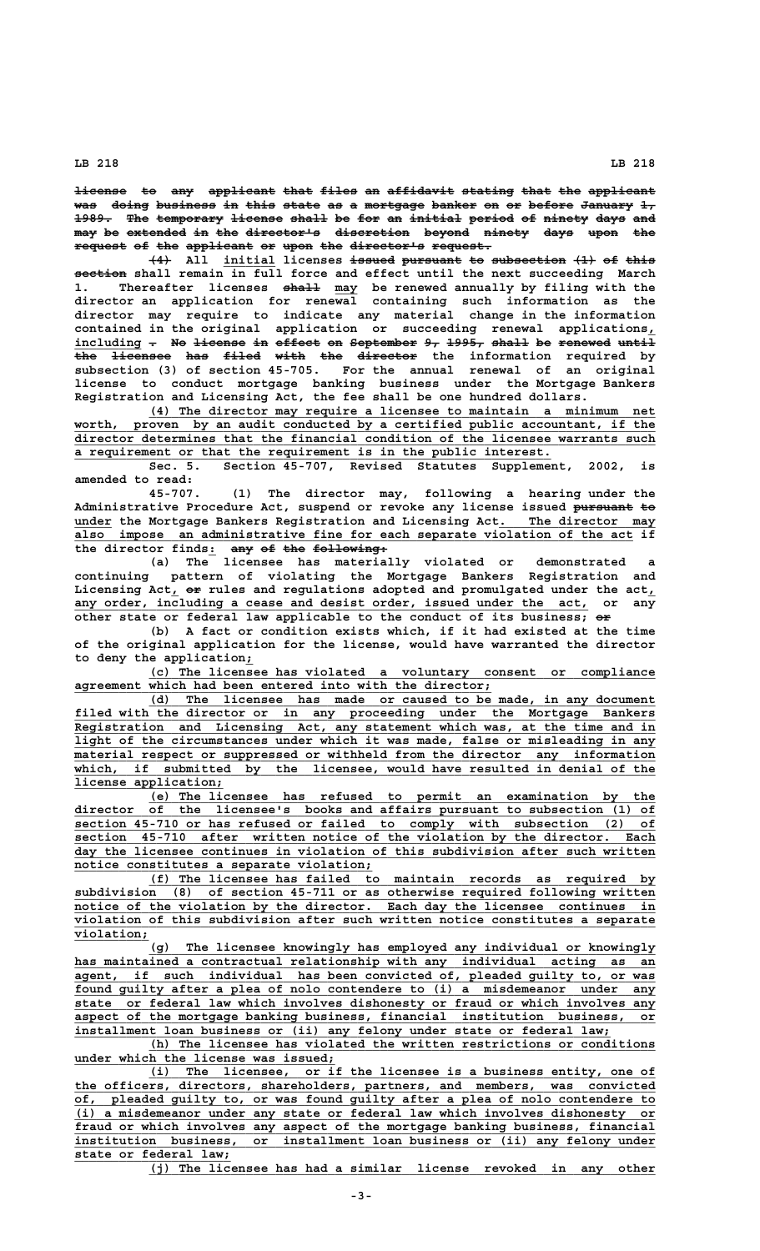**license** to any applicant that files an affidavit stating that the applicant was doing business in this state as a mortgage banker on or before January 1, 1989. The temporary license shall be for an initial period of ninety days and  $m$ ay be extended in the director's discretion beyond ninety days upon the **request of the applicant or upon the director's request. ——————— —— ——— ————————— —— ———— ——— —————————— ————————**

**(4) All initial licenses issued pursuant to subsection (1) of this ——— \_\_\_\_\_\_\_ —————— ———————— —— —————————— ——— —— ———— ——————— section shall remain in full force and effect until the next succeeding March ————— \_\_\_ 1. Thereafter licenses shall may be renewed annually by filing with the director an application for renewal containing such information as the director may require to indicate any material change in the information contained in the original application or succeeding renewal applications,\_** including - No <del>license in effect</del> on September 9, 1995, shall be renewed until **the licensee has filed with the director the information required by ——— ———————— ——— ————— ———— ——— ——————— subsection (3) of section 45-705. For the annual renewal of an original license to conduct mortgage banking business under the Mortgage Bankers Registration and Licensing Act, the fee shall be one hundred dollars.**

> **\_\_\_\_\_\_\_\_\_\_\_\_\_\_\_\_\_\_\_\_\_\_\_\_\_\_\_\_\_\_\_\_\_\_\_\_\_\_\_\_\_\_\_\_\_\_\_\_\_\_\_\_\_\_\_\_\_\_\_\_\_\_\_\_\_\_\_\_ (4) The director may require a licensee to maintain a minimum net** worth, proven by an audit conducted by a certified public accountant, if the  $\overline{\text{directory determines that the financial condition of the license warrants such}$  **\_\_\_\_\_\_\_\_\_\_\_\_\_\_\_\_\_\_\_\_\_\_\_\_\_\_\_\_\_\_\_\_\_\_\_\_\_\_\_\_\_\_\_\_\_\_\_\_\_\_\_\_\_\_\_\_\_\_\_\_\_\_\_\_ a requirement or that the requirement is in the public interest.**

> **Sec. 5. Section 45-707, Revised Statutes Supplement, 2002, is amended to read:**

> **45-707. (1) The director may, following a hearing under the Administrative Procedure Act, suspend or revoke any license issued pursuant to ———————— — under the Mortgage Bankers Registration and Licensing Act.** The director may  $\overline{\text{also}}$  impose an administrative fine for each separate violation of the act if the director finds: any of the following:<br>
> (a) The licensee has materially violated or

> **(a) The licensee has materially violated or demonstrated a continuing pattern of violating the Mortgage Bankers Registration and** Licensing Act, or rules and regulations adopted and promulgated under the act, any order, including a cease and desist order, issued under the act, or any other state or federal law applicable to the conduct of its business;  $\Theta \hat{r}$

> **(b) A fact or condition exists which, if it had existed at the time of the original application for the license, would have warranted the director \_ to deny the application;**

> **\_\_\_\_\_\_\_\_\_\_\_\_\_\_\_\_\_\_\_\_\_\_\_\_\_\_\_\_\_\_\_\_\_\_\_\_\_\_\_\_\_\_\_\_\_\_\_\_\_\_\_\_\_\_\_\_\_\_\_\_\_\_\_\_\_\_\_\_ (c) The licensee has violated a voluntary consent or compliance \_\_\_\_\_\_\_\_\_\_\_\_\_\_\_\_\_\_\_\_\_\_\_\_\_\_\_\_\_\_\_\_\_\_\_\_\_\_\_\_\_\_\_\_\_\_\_\_\_\_\_\_\_\_\_\_ agreement which had been entered into with the director;**

> **\_\_\_\_\_\_\_\_\_\_\_\_\_\_\_\_\_\_\_\_\_\_\_\_\_\_\_\_\_\_\_\_\_\_\_\_\_\_\_\_\_\_\_\_\_\_\_\_\_\_\_\_\_\_\_\_\_\_\_\_\_\_\_\_\_\_\_\_ (d) The licensee has made or caused to be made, in any document** filed with the director or in any proceeding under the Mortgage Bankers  **\_\_\_\_\_\_\_\_\_\_\_\_\_\_\_\_\_\_\_\_\_\_\_\_\_\_\_\_\_\_\_\_\_\_\_\_\_\_\_\_\_\_\_\_\_\_\_\_\_\_\_\_\_\_\_\_\_\_\_\_\_\_\_\_\_\_\_\_\_\_\_\_\_\_\_\_\_\_ Registration and Licensing Act, any statement which was, at the time and in \_\_\_\_\_\_\_\_\_\_\_\_\_\_\_\_\_\_\_\_\_\_\_\_\_\_\_\_\_\_\_\_\_\_\_\_\_\_\_\_\_\_\_\_\_\_\_\_\_\_\_\_\_\_\_\_\_\_\_\_\_\_\_\_\_\_\_\_\_\_\_\_\_\_\_\_\_\_ light of the circumstances under which it was made, false or misleading in any**  $m$ aterial respect or suppressed or withheld from the director any information which, if submitted by the licensee, would have resulted in denial of the  **license application; \_\_\_\_\_\_\_\_\_\_\_\_\_\_\_\_\_\_\_\_**

> **\_\_\_\_\_\_\_\_\_\_\_\_\_\_\_\_\_\_\_\_\_\_\_\_\_\_\_\_\_\_\_\_\_\_\_\_\_\_\_\_\_\_\_\_\_\_\_\_\_\_\_\_\_\_\_\_\_\_\_\_\_\_\_\_\_\_\_\_ (e) The licensee has refused to permit an examination by the**  $\frac{director}{of}$  the licensee's books and affairs pursuant to subsection (1) of  **\_\_\_\_\_\_\_\_\_\_\_\_\_\_\_\_\_\_\_\_\_\_\_\_\_\_\_\_\_\_\_\_\_\_\_\_\_\_\_\_\_\_\_\_\_\_\_\_\_\_\_\_\_\_\_\_\_\_\_\_\_\_\_\_\_\_\_\_\_\_\_\_\_\_\_\_\_\_ section 45-710 or has refused or failed to comply with subsection (2) of \_\_\_\_\_\_\_\_\_\_\_\_\_\_\_\_\_\_\_\_\_\_\_\_\_\_\_\_\_\_\_\_\_\_\_\_\_\_\_\_\_\_\_\_\_\_\_\_\_\_\_\_\_\_\_\_\_\_\_\_\_\_\_\_\_\_\_\_\_\_\_\_\_\_\_\_\_\_ section 45-710 after written notice of the violation by the director. Each \_\_\_\_\_\_\_\_\_\_\_\_\_\_\_\_\_\_\_\_\_\_\_\_\_\_\_\_\_\_\_\_\_\_\_\_\_\_\_\_\_\_\_\_\_\_\_\_\_\_\_\_\_\_\_\_\_\_\_\_\_\_\_\_\_\_\_\_\_\_\_\_\_\_\_\_\_\_ day the licensee continues in violation of this subdivision after such written \_\_\_\_\_\_\_\_\_\_\_\_\_\_\_\_\_\_\_\_\_\_\_\_\_\_\_\_\_\_\_\_\_\_\_\_\_\_\_\_ notice constitutes a separate violation;**

> **\_\_\_\_\_\_\_\_\_\_\_\_\_\_\_\_\_\_\_\_\_\_\_\_\_\_\_\_\_\_\_\_\_\_\_\_\_\_\_\_\_\_\_\_\_\_\_\_\_\_\_\_\_\_\_\_\_\_\_\_\_\_\_\_\_\_\_\_ (f) The licensee has failed to maintain records as required by \_\_\_\_\_\_\_\_\_\_\_\_\_\_\_\_\_\_\_\_\_\_\_\_\_\_\_\_\_\_\_\_\_\_\_\_\_\_\_\_\_\_\_\_\_\_\_\_\_\_\_\_\_\_\_\_\_\_\_\_\_\_\_\_\_\_\_\_\_\_\_\_\_\_\_\_\_\_ subdivision (8) of section 45-711 or as otherwise required following written** notice of the violation by the director. Each day the licensee continues in  **\_\_\_\_\_\_\_\_\_\_\_\_\_\_\_\_\_\_\_\_\_\_\_\_\_\_\_\_\_\_\_\_\_\_\_\_\_\_\_\_\_\_\_\_\_\_\_\_\_\_\_\_\_\_\_\_\_\_\_\_\_\_\_\_\_\_\_\_\_\_\_\_\_\_\_\_\_\_ violation of this subdivision after such written notice constitutes a separate violation; \_\_\_\_\_\_\_\_\_\_**

 **\_\_\_\_\_\_\_\_\_\_\_\_\_\_\_\_\_\_\_\_\_\_\_\_\_\_\_\_\_\_\_\_\_\_\_\_\_\_\_\_\_\_\_\_\_\_\_\_\_\_\_\_\_\_\_\_\_\_\_\_\_\_\_\_\_\_\_\_ (g) The licensee knowingly has employed any individual or knowingly \_\_\_\_\_\_\_\_\_\_\_\_\_\_\_\_\_\_\_\_\_\_\_\_\_\_\_\_\_\_\_\_\_\_\_\_\_\_\_\_\_\_\_\_\_\_\_\_\_\_\_\_\_\_\_\_\_\_\_\_\_\_\_\_\_\_\_\_\_\_\_\_\_\_\_\_\_\_ has maintained a contractual relationship with any individual acting as an \_\_\_\_\_\_\_\_\_\_\_\_\_\_\_\_\_\_\_\_\_\_\_\_\_\_\_\_\_\_\_\_\_\_\_\_\_\_\_\_\_\_\_\_\_\_\_\_\_\_\_\_\_\_\_\_\_\_\_\_\_\_\_\_\_\_\_\_\_\_\_\_\_\_\_\_\_\_ agent, if such individual has been convicted of, pleaded guilty to, or was \_\_\_\_\_\_\_\_\_\_\_\_\_\_\_\_\_\_\_\_\_\_\_\_\_\_\_\_\_\_\_\_\_\_\_\_\_\_\_\_\_\_\_\_\_\_\_\_\_\_\_\_\_\_\_\_\_\_\_\_\_\_\_\_\_\_\_\_\_\_\_\_\_\_\_\_\_\_ found guilty after a plea of nolo contendere to (i) a misdemeanor under any \_\_\_\_\_\_\_\_\_\_\_\_\_\_\_\_\_\_\_\_\_\_\_\_\_\_\_\_\_\_\_\_\_\_\_\_\_\_\_\_\_\_\_\_\_\_\_\_\_\_\_\_\_\_\_\_\_\_\_\_\_\_\_\_\_\_\_\_\_\_\_\_\_\_\_\_\_\_ state or federal law which involves dishonesty or fraud or which involves any \_\_\_\_\_\_\_\_\_\_\_\_\_\_\_\_\_\_\_\_\_\_\_\_\_\_\_\_\_\_\_\_\_\_\_\_\_\_\_\_\_\_\_\_\_\_\_\_\_\_\_\_\_\_\_\_\_\_\_\_\_\_\_\_\_\_\_\_\_\_\_\_\_\_\_\_\_\_ aspect of the mortgage banking business, financial institution business, or \_\_\_\_\_\_\_\_\_\_\_\_\_\_\_\_\_\_\_\_\_\_\_\_\_\_\_\_\_\_\_\_\_\_\_\_\_\_\_\_\_\_\_\_\_\_\_\_\_\_\_\_\_\_\_\_\_\_\_\_\_\_\_\_\_\_\_\_\_\_\_\_ installment loan business or (ii) any felony under state or federal law;**

 **\_\_\_\_\_\_\_\_\_\_\_\_\_\_\_\_\_\_\_\_\_\_\_\_\_\_\_\_\_\_\_\_\_\_\_\_\_\_\_\_\_\_\_\_\_\_\_\_\_\_\_\_\_\_\_\_\_\_\_\_\_\_\_\_\_\_\_\_ (h) The licensee has violated the written restrictions or conditions \_\_\_\_\_\_\_\_\_\_\_\_\_\_\_\_\_\_\_\_\_\_\_\_\_\_\_\_\_\_\_\_\_\_\_ under which the license was issued;**

 **\_\_\_\_\_\_\_\_\_\_\_\_\_\_\_\_\_\_\_\_\_\_\_\_\_\_\_\_\_\_\_\_\_\_\_\_\_\_\_\_\_\_\_\_\_\_\_\_\_\_\_\_\_\_\_\_\_\_\_\_\_\_\_\_\_\_\_\_ (i) The licensee, or if the licensee is a business entity, one of \_\_\_\_\_\_\_\_\_\_\_\_\_\_\_\_\_\_\_\_\_\_\_\_\_\_\_\_\_\_\_\_\_\_\_\_\_\_\_\_\_\_\_\_\_\_\_\_\_\_\_\_\_\_\_\_\_\_\_\_\_\_\_\_\_\_\_\_\_\_\_\_\_\_\_\_\_\_ the officers, directors, shareholders, partners, and members, was convicted \_\_\_\_\_\_\_\_\_\_\_\_\_\_\_\_\_\_\_\_\_\_\_\_\_\_\_\_\_\_\_\_\_\_\_\_\_\_\_\_\_\_\_\_\_\_\_\_\_\_\_\_\_\_\_\_\_\_\_\_\_\_\_\_\_\_\_\_\_\_\_\_\_\_\_\_\_\_ of, pleaded guilty to, or was found guilty after a plea of nolo contendere to \_\_\_\_\_\_\_\_\_\_\_\_\_\_\_\_\_\_\_\_\_\_\_\_\_\_\_\_\_\_\_\_\_\_\_\_\_\_\_\_\_\_\_\_\_\_\_\_\_\_\_\_\_\_\_\_\_\_\_\_\_\_\_\_\_\_\_\_\_\_\_\_\_\_\_\_\_\_ (i) a misdemeanor under any state or federal law which involves dishonesty or \_\_\_\_\_\_\_\_\_\_\_\_\_\_\_\_\_\_\_\_\_\_\_\_\_\_\_\_\_\_\_\_\_\_\_\_\_\_\_\_\_\_\_\_\_\_\_\_\_\_\_\_\_\_\_\_\_\_\_\_\_\_\_\_\_\_\_\_\_\_\_\_\_\_\_\_\_\_ fraud or which involves any aspect of the mortgage banking business, financial \_\_\_\_\_\_\_\_\_\_\_\_\_\_\_\_\_\_\_\_\_\_\_\_\_\_\_\_\_\_\_\_\_\_\_\_\_\_\_\_\_\_\_\_\_\_\_\_\_\_\_\_\_\_\_\_\_\_\_\_\_\_\_\_\_\_\_\_\_\_\_\_\_\_\_\_\_\_ institution business, or installment loan business or (ii) any felony under \_\_\_\_\_\_\_\_\_\_\_\_\_\_\_\_\_\_\_\_\_ state or federal law;**

 **\_\_\_\_\_\_\_\_\_\_\_\_\_\_\_\_\_\_\_\_\_\_\_\_\_\_\_\_\_\_\_\_\_\_\_\_\_\_\_\_\_\_\_\_\_\_\_\_\_\_\_\_\_\_\_\_\_\_\_\_\_\_\_\_\_\_\_\_ (j) The licensee has had a similar license revoked in any other**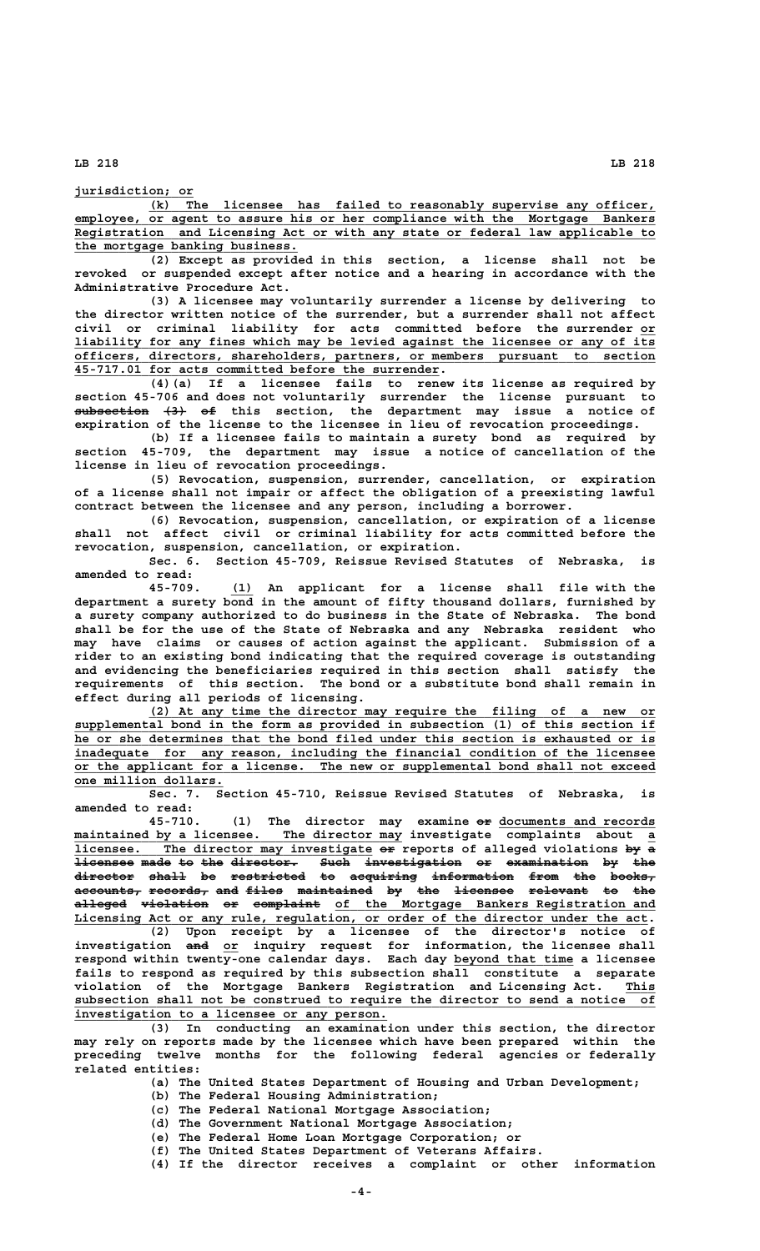**jurisdiction; or \_\_\_\_\_\_\_\_\_\_\_\_\_\_\_\_**

 **\_\_\_\_\_\_\_\_\_\_\_\_\_\_\_\_\_\_\_\_\_\_\_\_\_\_\_\_\_\_\_\_\_\_\_\_\_\_\_\_\_\_\_\_\_\_\_\_\_\_\_\_\_\_\_\_\_\_\_\_\_\_\_\_\_\_\_\_ (k) The licensee has failed to reasonably supervise any officer,** employee, or agent to assure his or her compliance with the Mortgage Bankers  **\_\_\_\_\_\_\_\_\_\_\_\_\_\_\_\_\_\_\_\_\_\_\_\_\_\_\_\_\_\_\_\_\_\_\_\_\_\_\_\_\_\_\_\_\_\_\_\_\_\_\_\_\_\_\_\_\_\_\_\_\_\_\_\_\_\_\_\_\_\_\_\_\_\_\_\_\_\_ Registration and Licensing Act or with any state or federal law applicable to \_\_\_\_\_\_\_\_\_\_\_\_\_\_\_\_\_\_\_\_\_\_\_\_\_\_\_\_\_\_ the mortgage banking business.**

**(2) Except as provided in this section, a license shall not be revoked or suspended except after notice and a hearing in accordance with the Administrative Procedure Act.**

**(3) A licensee may voluntarily surrender a license by delivering to the director written notice of the surrender, but a surrender shall not affect civil or criminal liability for acts committed before the surrender or\_\_ \_\_\_\_\_\_\_\_\_\_\_\_\_\_\_\_\_\_\_\_\_\_\_\_\_\_\_\_\_\_\_\_\_\_\_\_\_\_\_\_\_\_\_\_\_\_\_\_\_\_\_\_\_\_\_\_\_\_\_\_\_\_\_\_\_\_\_\_\_\_\_\_\_\_\_\_\_\_ liability for any fines which may be levied against the licensee or any of its \_\_\_\_\_\_\_\_\_\_\_\_\_\_\_\_\_\_\_\_\_\_\_\_\_\_\_\_\_\_\_\_\_\_\_\_\_\_\_\_\_\_\_\_\_\_\_\_\_\_\_\_\_\_\_\_\_\_\_\_\_\_\_\_\_\_\_\_\_\_\_\_\_\_\_\_\_\_ officers, directors, shareholders, partners, or members pursuant to section \_\_\_\_\_\_\_\_\_\_\_\_\_\_\_\_\_\_\_\_\_\_\_\_\_\_\_\_\_\_\_\_\_\_\_\_\_\_\_\_\_\_\_\_\_\_\_\_\_ 45-717.01 for acts committed before the surrender.**

**(4)(a) If a licensee fails to renew its license as required by section 45-706 and does not voluntarily surrender the license pursuant to subsection (3) of this section, the department may issue a notice of —————————— ——— — expiration of the license to the licensee in lieu of revocation proceedings.**

**(b) If a licensee fails to maintain a surety bond as required by section 45-709, the department may issue a notice of cancellation of the license in lieu of revocation proceedings.**

**(5) Revocation, suspension, surrender, cancellation, or expiration of a license shall not impair or affect the obligation of a preexisting lawful contract between the licensee and any person, including a borrower.**

**(6) Revocation, suspension, cancellation, or expiration of a license shall not affect civil or criminal liability for acts committed before the revocation, suspension, cancellation, or expiration.**

**Sec. 6. Section 45-709, Reissue Revised Statutes of Nebraska, is amended to read:**

 **\_\_\_ 45-709. (1) An applicant for a license shall file with the department a surety bond in the amount of fifty thousand dollars, furnished by a surety company authorized to do business in the State of Nebraska. The bond shall be for the use of the State of Nebraska and any Nebraska resident who may have claims or causes of action against the applicant. Submission of a rider to an existing bond indicating that the required coverage is outstanding and evidencing the beneficiaries required in this section shall satisfy the requirements of this section. The bond or a substitute bond shall remain in effect during all periods of licensing.**

 **\_\_\_\_\_\_\_\_\_\_\_\_\_\_\_\_\_\_\_\_\_\_\_\_\_\_\_\_\_\_\_\_\_\_\_\_\_\_\_\_\_\_\_\_\_\_\_\_\_\_\_\_\_\_\_\_\_\_\_\_\_\_\_\_\_\_\_\_ (2) At any time the director may require the filing of a new or \_\_\_\_\_\_\_\_\_\_\_\_\_\_\_\_\_\_\_\_\_\_\_\_\_\_\_\_\_\_\_\_\_\_\_\_\_\_\_\_\_\_\_\_\_\_\_\_\_\_\_\_\_\_\_\_\_\_\_\_\_\_\_\_\_\_\_\_\_\_\_\_\_\_\_\_\_\_ supplemental bond in the form as provided in subsection (1) of this section if \_\_\_\_\_\_\_\_\_\_\_\_\_\_\_\_\_\_\_\_\_\_\_\_\_\_\_\_\_\_\_\_\_\_\_\_\_\_\_\_\_\_\_\_\_\_\_\_\_\_\_\_\_\_\_\_\_\_\_\_\_\_\_\_\_\_\_\_\_\_\_\_\_\_\_\_\_\_ he or she determines that the bond filed under this section is exhausted or is \_\_\_\_\_\_\_\_\_\_\_\_\_\_\_\_\_\_\_\_\_\_\_\_\_\_\_\_\_\_\_\_\_\_\_\_\_\_\_\_\_\_\_\_\_\_\_\_\_\_\_\_\_\_\_\_\_\_\_\_\_\_\_\_\_\_\_\_\_\_\_\_\_\_\_\_\_\_ inadequate for any reason, including the financial condition of the licensee \_\_\_\_\_\_\_\_\_\_\_\_\_\_\_\_\_\_\_\_\_\_\_\_\_\_\_\_\_\_\_\_\_\_\_\_\_\_\_\_\_\_\_\_\_\_\_\_\_\_\_\_\_\_\_\_\_\_\_\_\_\_\_\_\_\_\_\_\_\_\_\_\_\_\_\_\_\_ or the applicant for a license. The new or supplemental bond shall not exceed \_\_\_\_\_\_\_\_\_\_\_\_\_\_\_\_\_\_\_\_ one million dollars.**

**Sec. 7. Section 45-710, Reissue Revised Statutes of Nebraska, is amended to read:**

(1) The director may examine  $\theta$  **documents and records**  $\frac{1}{\text{maintained by a license.}}$  The director may investigate complaints about a  **\_\_\_\_\_\_\_\_\_\_\_\_\_\_\_\_\_\_\_\_\_\_\_\_\_\_\_\_\_\_\_\_\_\_\_\_\_\_\_\_ —— —— — licensee. The director may investigate or reports of alleged violations by a licensee made to the director. Such investigation or examination by the ———————— ———— —— ——— ————————— ———— ————————————— —— ——————————— —— —— director shall be restricted to acquiring information from the books, ———————— ————— —— —————————— —— ————————— ——————————— ———— ——— ————— accounts, records, and files maintained by the licensee relevant to the ————————— ———————— ——— ————— —————————— —— ——— ———————— ———————— —— —— alleged violation or complaint of the Mortgage Bankers Registration and ——————— ————————— —— ————————— \_\_\_\_\_\_\_\_\_\_\_\_\_\_\_\_\_\_\_\_\_\_\_\_\_\_\_\_\_\_\_\_\_\_\_\_\_\_\_\_\_\_\_ \_\_\_\_\_\_\_\_\_\_\_\_\_\_\_\_\_\_\_\_\_\_\_\_\_\_\_\_\_\_\_\_\_\_\_\_\_\_\_\_\_\_\_\_\_\_\_\_\_\_\_\_\_\_\_\_\_\_\_\_\_\_\_\_\_\_\_\_\_\_\_\_\_\_\_\_\_ Licensing Act or any rule, regulation, or order of the director under the act.**

**(2) Upon receipt by a licensee of the director's notice of ——— \_\_ investigation and or inquiry request for information, the licensee shall respond within twenty-one calendar days. Each day beyond that time a licensee \_\_\_\_\_\_\_\_\_\_\_\_\_\_\_\_ fails to respond as required by this subsection shall constitute a separate violation of the Mortgage Bankers Registration and Licensing Act. This \_\_\_\_ \_\_\_\_\_\_\_\_\_\_\_\_\_\_\_\_\_\_\_\_\_\_\_\_\_\_\_\_\_\_\_\_\_\_\_\_\_\_\_\_\_\_\_\_\_\_\_\_\_\_\_\_\_\_\_\_\_\_\_\_\_\_\_\_\_\_\_\_\_\_\_\_\_\_\_\_\_\_ subsection shall not be construed to require the director to send a notice of \_\_\_\_\_\_\_\_\_\_\_\_\_\_\_\_\_\_\_\_\_\_\_\_\_\_\_\_\_\_\_\_\_\_\_\_\_\_\_\_\_\_ investigation to a licensee or any person.**

**(3) In conducting an examination under this section, the director may rely on reports made by the licensee which have been prepared within the preceding twelve months for the following federal agencies or federally related entities:**

**(a) The United States Department of Housing and Urban Development;**

**(b) The Federal Housing Administration;**

**(c) The Federal National Mortgage Association;**

**(d) The Government National Mortgage Association;**

**(e) The Federal Home Loan Mortgage Corporation; or**

**(f) The United States Department of Veterans Affairs.**

**(4) If the director receives a complaint or other information**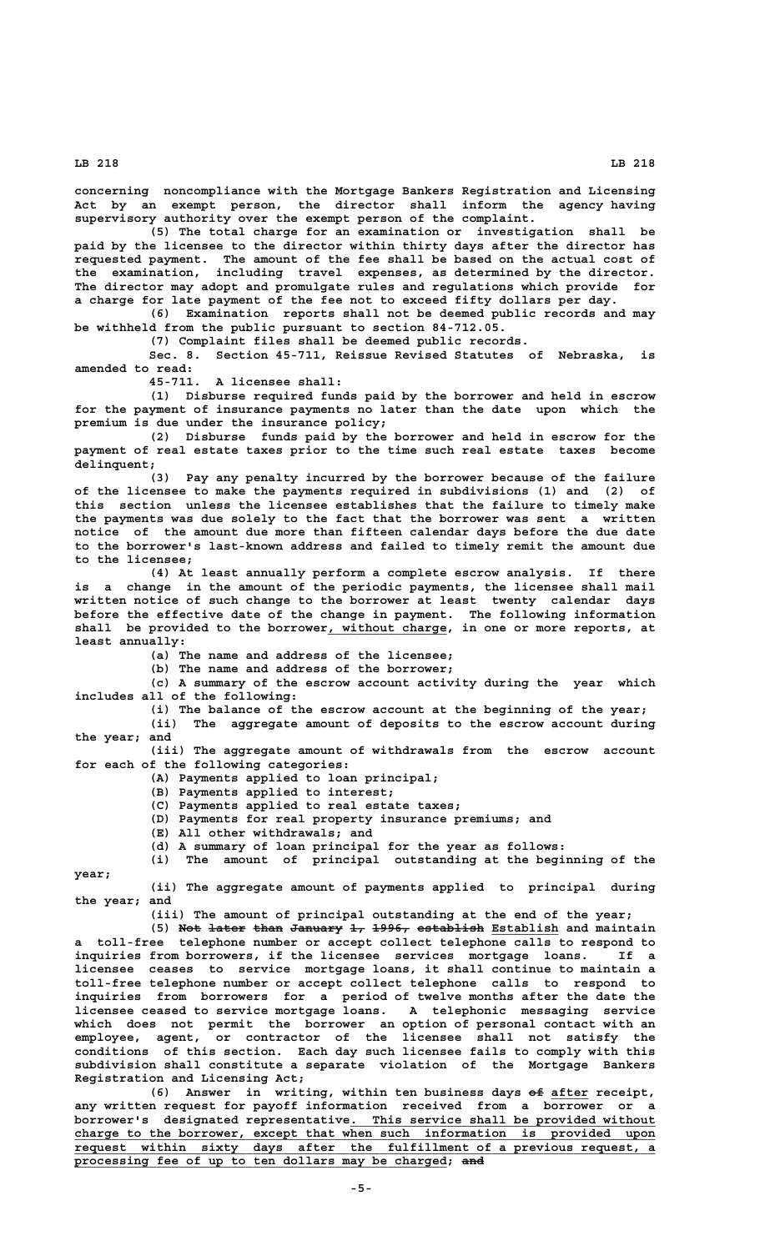**year;**

 **LB 218 LB 218**

**concerning noncompliance with the Mortgage Bankers Registration and Licensing Act by an exempt person, the director shall inform the agency having supervisory authority over the exempt person of the complaint.**

**(5) The total charge for an examination or investigation shall be paid by the licensee to the director within thirty days after the director has requested payment. The amount of the fee shall be based on the actual cost of the examination, including travel expenses, as determined by the director. The director may adopt and promulgate rules and regulations which provide for a charge for late payment of the fee not to exceed fifty dollars per day.**

**(6) Examination reports shall not be deemed public records and may be withheld from the public pursuant to section 84-712.05.**

**(7) Complaint files shall be deemed public records.**

**Sec. 8. Section 45-711, Reissue Revised Statutes of Nebraska, is amended to read:**

**45-711. A licensee shall:**

**(1) Disburse required funds paid by the borrower and held in escrow for the payment of insurance payments no later than the date upon which the premium is due under the insurance policy;**

**(2) Disburse funds paid by the borrower and held in escrow for the payment of real estate taxes prior to the time such real estate taxes become delinquent;**

**(3) Pay any penalty incurred by the borrower because of the failure of the licensee to make the payments required in subdivisions (1) and (2) of this section unless the licensee establishes that the failure to timely make the payments was due solely to the fact that the borrower was sent a written notice of the amount due more than fifteen calendar days before the due date to the borrower's last-known address and failed to timely remit the amount due to the licensee;**

**(4) At least annually perform a complete escrow analysis. If there is a change in the amount of the periodic payments, the licensee shall mail written notice of such change to the borrower at least twenty calendar days before the effective date of the change in payment. The following information** shall be provided to the borrower, without charge, in one or more reports, at  **least annually:**

**(a) The name and address of the licensee;**

**(b) The name and address of the borrower;**

**(c) A summary of the escrow account activity during the year which includes all of the following:**

**(i) The balance of the escrow account at the beginning of the year; (ii) The aggregate amount of deposits to the escrow account during the year; and**

**(iii) The aggregate amount of withdrawals from the escrow account for each of the following categories:**

**(A) Payments applied to loan principal;**

**(B) Payments applied to interest;**

**(C) Payments applied to real estate taxes;**

- **(D) Payments for real property insurance premiums; and**
- **(E) All other withdrawals; and**
- **(d) A summary of loan principal for the year as follows:**
- **(i) The amount of principal outstanding at the beginning of the**

**(ii) The aggregate amount of payments applied to principal during the year; and**

**(iii) The amount of principal outstanding at the end of the year;**

(5) Not later than January 1, 1996, establish Establish and maintain **a toll-free telephone number or accept collect telephone calls to respond to inquiries from borrowers, if the licensee services mortgage loans. If a licensee ceases to service mortgage loans, it shall continue to maintain a toll-free telephone number or accept collect telephone calls to respond to inquiries from borrowers for a period of twelve months after the date the licensee ceased to service mortgage loans. A telephonic messaging service which does not permit the borrower an option of personal contact with an employee, agent, or contractor of the licensee shall not satisfy the conditions of this section. Each day such licensee fails to comply with this subdivision shall constitute a separate violation of the Mortgage Bankers Registration and Licensing Act;**

**(6) Answer in writing, within ten business days of after receipt, —— \_\_\_\_\_ any written request for payoff information received from a borrower or a \_\_\_\_\_\_\_\_\_\_\_\_\_\_\_\_\_\_\_\_\_\_\_\_\_\_\_\_\_\_\_\_\_\_\_\_\_\_\_\_\_ borrower's designated representative. This service shall be provided without \_\_\_\_\_\_\_\_\_\_\_\_\_\_\_\_\_\_\_\_\_\_\_\_\_\_\_\_\_\_\_\_\_\_\_\_\_\_\_\_\_\_\_\_\_\_\_\_\_\_\_\_\_\_\_\_\_\_\_\_\_\_\_\_\_\_\_\_\_\_\_\_\_\_\_\_\_\_ charge to the borrower, except that when such information is provided upon \_\_\_\_\_\_\_\_\_\_\_\_\_\_\_\_\_\_\_\_\_\_\_\_\_\_\_\_\_\_\_\_\_\_\_\_\_\_\_\_\_\_\_\_\_\_\_\_\_\_\_\_\_\_\_\_\_\_\_\_\_\_\_\_\_\_\_\_\_\_\_\_\_\_\_\_\_\_ request within sixty days after the fulfillment of a previous request, a** processing fee of up to ten dollars may be charged; and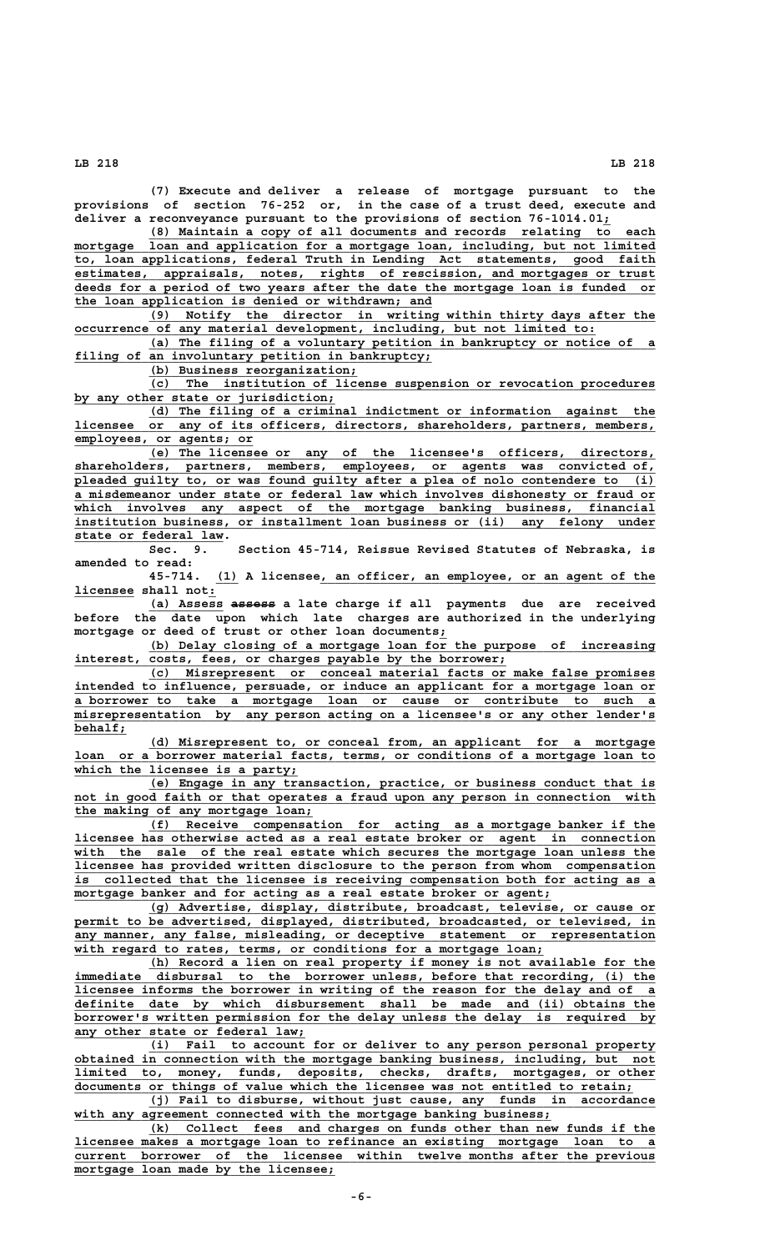**(7) Execute and deliver a release of mortgage pursuant to the provisions of section 76-252 or, in the case of a trust deed, execute and deliver a reconveyance pursuant to the provisions of section 76-1014.01;\_**

 **\_\_\_\_\_\_\_\_\_\_\_\_\_\_\_\_\_\_\_\_\_\_\_\_\_\_\_\_\_\_\_\_\_\_\_\_\_\_\_\_\_\_\_\_\_\_\_\_\_\_\_\_\_\_\_\_\_\_\_\_\_\_\_\_\_\_\_\_ (8) Maintain a copy of all documents and records relating to each \_\_\_\_\_\_\_\_\_\_\_\_\_\_\_\_\_\_\_\_\_\_\_\_\_\_\_\_\_\_\_\_\_\_\_\_\_\_\_\_\_\_\_\_\_\_\_\_\_\_\_\_\_\_\_\_\_\_\_\_\_\_\_\_\_\_\_\_\_\_\_\_\_\_\_\_\_\_ mortgage loan and application for a mortgage loan, including, but not limited \_\_\_\_\_\_\_\_\_\_\_\_\_\_\_\_\_\_\_\_\_\_\_\_\_\_\_\_\_\_\_\_\_\_\_\_\_\_\_\_\_\_\_\_\_\_\_\_\_\_\_\_\_\_\_\_\_\_\_\_\_\_\_\_\_\_\_\_\_\_\_\_\_\_\_\_\_\_ to, loan applications, federal Truth in Lending Act statements, good faith \_\_\_\_\_\_\_\_\_\_\_\_\_\_\_\_\_\_\_\_\_\_\_\_\_\_\_\_\_\_\_\_\_\_\_\_\_\_\_\_\_\_\_\_\_\_\_\_\_\_\_\_\_\_\_\_\_\_\_\_\_\_\_\_\_\_\_\_\_\_\_\_\_\_\_\_\_\_ estimates, appraisals, notes, rights of rescission, and mortgages or trust \_\_\_\_\_\_\_\_\_\_\_\_\_\_\_\_\_\_\_\_\_\_\_\_\_\_\_\_\_\_\_\_\_\_\_\_\_\_\_\_\_\_\_\_\_\_\_\_\_\_\_\_\_\_\_\_\_\_\_\_\_\_\_\_\_\_\_\_\_\_\_\_\_\_\_\_\_\_ deeds for a period of two years after the date the mortgage loan is funded or \_\_\_\_\_\_\_\_\_\_\_\_\_\_\_\_\_\_\_\_\_\_\_\_\_\_\_\_\_\_\_\_\_\_\_\_\_\_\_\_\_\_\_\_\_\_\_\_ the loan application is denied or withdrawn; and**

 **\_\_\_\_\_\_\_\_\_\_\_\_\_\_\_\_\_\_\_\_\_\_\_\_\_\_\_\_\_\_\_\_\_\_\_\_\_\_\_\_\_\_\_\_\_\_\_\_\_\_\_\_\_\_\_\_\_\_\_\_\_\_\_\_\_\_\_\_ (9) Notify the director in writing within thirty days after the \_\_\_\_\_\_\_\_\_\_\_\_\_\_\_\_\_\_\_\_\_\_\_\_\_\_\_\_\_\_\_\_\_\_\_\_\_\_\_\_\_\_\_\_\_\_\_\_\_\_\_\_\_\_\_\_\_\_\_\_\_\_\_\_\_\_\_\_\_\_ occurrence of any material development, including, but not limited to:**

 **\_\_\_\_\_\_\_\_\_\_\_\_\_\_\_\_\_\_\_\_\_\_\_\_\_\_\_\_\_\_\_\_\_\_\_\_\_\_\_\_\_\_\_\_\_\_\_\_\_\_\_\_\_\_\_\_\_\_\_\_\_\_\_\_\_\_\_\_ (a) The filing of a voluntary petition in bankruptcy or notice of a \_\_\_\_\_\_\_\_\_\_\_\_\_\_\_\_\_\_\_\_\_\_\_\_\_\_\_\_\_\_\_\_\_\_\_\_\_\_\_\_\_\_\_\_\_\_\_\_ filing of an involuntary petition in bankruptcy;**

(b) Business reorganization;<br>(c) The institution of lice  **\_\_\_\_\_\_\_\_\_\_\_\_\_\_\_\_\_\_\_\_\_\_\_\_\_\_\_\_\_\_\_\_\_\_\_\_\_\_\_\_\_\_\_\_\_\_\_\_\_\_\_\_\_\_\_\_\_\_\_\_\_\_\_\_\_\_\_\_ (c) The institution of license suspension or revocation procedures \_\_\_\_\_\_\_\_\_\_\_\_\_\_\_\_\_\_\_\_\_\_\_\_\_\_\_\_\_\_\_\_\_\_\_ by any other state or jurisdiction;**

 **\_\_\_\_\_\_\_\_\_\_\_\_\_\_\_\_\_\_\_\_\_\_\_\_\_\_\_\_\_\_\_\_\_\_\_\_\_\_\_\_\_\_\_\_\_\_\_\_\_\_\_\_\_\_\_\_\_\_\_\_\_\_\_\_\_\_\_\_ (d) The filing of a criminal indictment or information against the \_\_\_\_\_\_\_\_\_\_\_\_\_\_\_\_\_\_\_\_\_\_\_\_\_\_\_\_\_\_\_\_\_\_\_\_\_\_\_\_\_\_\_\_\_\_\_\_\_\_\_\_\_\_\_\_\_\_\_\_\_\_\_\_\_\_\_\_\_\_\_\_\_\_\_\_\_\_ licensee or any of its officers, directors, shareholders, partners, members, \_\_\_\_\_\_\_\_\_\_\_\_\_\_\_\_\_\_\_\_\_\_\_\_ employees, or agents; or**

 **\_\_\_\_\_\_\_\_\_\_\_\_\_\_\_\_\_\_\_\_\_\_\_\_\_\_\_\_\_\_\_\_\_\_\_\_\_\_\_\_\_\_\_\_\_\_\_\_\_\_\_\_\_\_\_\_\_\_\_\_\_\_\_\_\_\_\_\_ (e) The licensee or any of the licensee's officers, directors, \_\_\_\_\_\_\_\_\_\_\_\_\_\_\_\_\_\_\_\_\_\_\_\_\_\_\_\_\_\_\_\_\_\_\_\_\_\_\_\_\_\_\_\_\_\_\_\_\_\_\_\_\_\_\_\_\_\_\_\_\_\_\_\_\_\_\_\_\_\_\_\_\_\_\_\_\_\_ shareholders, partners, members, employees, or agents was convicted of,** pleaded guilty to, or was found guilty after a plea of nolo contendere to (i)  **\_\_\_\_\_\_\_\_\_\_\_\_\_\_\_\_\_\_\_\_\_\_\_\_\_\_\_\_\_\_\_\_\_\_\_\_\_\_\_\_\_\_\_\_\_\_\_\_\_\_\_\_\_\_\_\_\_\_\_\_\_\_\_\_\_\_\_\_\_\_\_\_\_\_\_\_\_\_ a misdemeanor under state or federal law which involves dishonesty or fraud or \_\_\_\_\_\_\_\_\_\_\_\_\_\_\_\_\_\_\_\_\_\_\_\_\_\_\_\_\_\_\_\_\_\_\_\_\_\_\_\_\_\_\_\_\_\_\_\_\_\_\_\_\_\_\_\_\_\_\_\_\_\_\_\_\_\_\_\_\_\_\_\_\_\_\_\_\_\_ which involves any aspect of the mortgage banking business, financial \_\_\_\_\_\_\_\_\_\_\_\_\_\_\_\_\_\_\_\_\_\_\_\_\_\_\_\_\_\_\_\_\_\_\_\_\_\_\_\_\_\_\_\_\_\_\_\_\_\_\_\_\_\_\_\_\_\_\_\_\_\_\_\_\_\_\_\_\_\_\_\_\_\_\_\_\_\_ institution business, or installment loan business or (ii) any felony under state or federal law.**<br>Sec. 9.

**Sec. 9. Section 45-714, Reissue Revised Statutes of Nebraska, is amended to read:**

 **\_\_\_ \_\_\_\_\_\_\_\_\_\_\_\_\_\_\_\_\_\_\_\_\_\_\_\_\_\_\_\_\_\_\_\_\_\_\_\_\_\_\_\_\_\_\_\_\_ 45-714. (1) A licensee, an officer, an employee, or an agent of the \_\_\_\_\_\_\_\_ \_ licensee shall not:**

 **\_\_\_\_\_\_\_\_\_\_ —————— (a) Assess assess a late charge if all payments due are received before the date upon which late charges are authorized in the underlying mortgage or deed of trust or other loan documents;\_**

 **\_\_\_\_\_\_\_\_\_\_\_\_\_\_\_\_\_\_\_\_\_\_\_\_\_\_\_\_\_\_\_\_\_\_\_\_\_\_\_\_\_\_\_\_\_\_\_\_\_\_\_\_\_\_\_\_\_\_\_\_\_\_\_\_\_\_\_\_ (b) Delay closing of a mortgage loan for the purpose of increasing** interest, costs, fees, or charges payable by the borrower;

 **\_\_\_\_\_\_\_\_\_\_\_\_\_\_\_\_\_\_\_\_\_\_\_\_\_\_\_\_\_\_\_\_\_\_\_\_\_\_\_\_\_\_\_\_\_\_\_\_\_\_\_\_\_\_\_\_\_\_\_\_\_\_\_\_\_\_\_\_ (c) Misrepresent or conceal material facts or make false promises \_\_\_\_\_\_\_\_\_\_\_\_\_\_\_\_\_\_\_\_\_\_\_\_\_\_\_\_\_\_\_\_\_\_\_\_\_\_\_\_\_\_\_\_\_\_\_\_\_\_\_\_\_\_\_\_\_\_\_\_\_\_\_\_\_\_\_\_\_\_\_\_\_\_\_\_\_\_ intended to influence, persuade, or induce an applicant for a mortgage loan or \_\_\_\_\_\_\_\_\_\_\_\_\_\_\_\_\_\_\_\_\_\_\_\_\_\_\_\_\_\_\_\_\_\_\_\_\_\_\_\_\_\_\_\_\_\_\_\_\_\_\_\_\_\_\_\_\_\_\_\_\_\_\_\_\_\_\_\_\_\_\_\_\_\_\_\_\_\_ a borrower to take a mortgage loan or cause or contribute to such a \_\_\_\_\_\_\_\_\_\_\_\_\_\_\_\_\_\_\_\_\_\_\_\_\_\_\_\_\_\_\_\_\_\_\_\_\_\_\_\_\_\_\_\_\_\_\_\_\_\_\_\_\_\_\_\_\_\_\_\_\_\_\_\_\_\_\_\_\_\_\_\_\_\_\_\_\_\_ misrepresentation by any person acting on a licensee's or any other lender's behalf; \_\_\_\_\_\_\_**

 **\_\_\_\_\_\_\_\_\_\_\_\_\_\_\_\_\_\_\_\_\_\_\_\_\_\_\_\_\_\_\_\_\_\_\_\_\_\_\_\_\_\_\_\_\_\_\_\_\_\_\_\_\_\_\_\_\_\_\_\_\_\_\_\_\_\_\_\_ (d) Misrepresent to, or conceal from, an applicant for a mortgage \_\_\_\_\_\_\_\_\_\_\_\_\_\_\_\_\_\_\_\_\_\_\_\_\_\_\_\_\_\_\_\_\_\_\_\_\_\_\_\_\_\_\_\_\_\_\_\_\_\_\_\_\_\_\_\_\_\_\_\_\_\_\_\_\_\_\_\_\_\_\_\_\_\_\_\_\_\_ loan or a borrower material facts, terms, or conditions of a mortgage loan to \_\_\_\_\_\_\_\_\_\_\_\_\_\_\_\_\_\_\_\_\_\_\_\_\_\_\_\_\_\_ which the licensee is a party;**

 **\_\_\_\_\_\_\_\_\_\_\_\_\_\_\_\_\_\_\_\_\_\_\_\_\_\_\_\_\_\_\_\_\_\_\_\_\_\_\_\_\_\_\_\_\_\_\_\_\_\_\_\_\_\_\_\_\_\_\_\_\_\_\_\_\_\_\_\_ (e) Engage in any transaction, practice, or business conduct that is** not in good faith or that operates a fraud upon any person in connection with  **\_\_\_\_\_\_\_\_\_\_\_\_\_\_\_\_\_\_\_\_\_\_\_\_\_\_\_\_\_\_\_\_ the making of any mortgage loan;**

 **\_\_\_\_\_\_\_\_\_\_\_\_\_\_\_\_\_\_\_\_\_\_\_\_\_\_\_\_\_\_\_\_\_\_\_\_\_\_\_\_\_\_\_\_\_\_\_\_\_\_\_\_\_\_\_\_\_\_\_\_\_\_\_\_\_\_\_\_ (f) Receive compensation for acting as a mortgage banker if the** licensee has otherwise acted as a real estate broker or agent in connection with the sale of the real estate which secures the mortgage loan unless the  **\_\_\_\_\_\_\_\_\_\_\_\_\_\_\_\_\_\_\_\_\_\_\_\_\_\_\_\_\_\_\_\_\_\_\_\_\_\_\_\_\_\_\_\_\_\_\_\_\_\_\_\_\_\_\_\_\_\_\_\_\_\_\_\_\_\_\_\_\_\_\_\_\_\_\_\_\_\_ licensee has provided written disclosure to the person from whom compensation \_\_\_\_\_\_\_\_\_\_\_\_\_\_\_\_\_\_\_\_\_\_\_\_\_\_\_\_\_\_\_\_\_\_\_\_\_\_\_\_\_\_\_\_\_\_\_\_\_\_\_\_\_\_\_\_\_\_\_\_\_\_\_\_\_\_\_\_\_\_\_\_\_\_\_\_\_\_ is collected that the licensee is receiving compensation both for acting as a**  $mortgage$  banker and for acting as a real estate broker or agent;

 **\_\_\_\_\_\_\_\_\_\_\_\_\_\_\_\_\_\_\_\_\_\_\_\_\_\_\_\_\_\_\_\_\_\_\_\_\_\_\_\_\_\_\_\_\_\_\_\_\_\_\_\_\_\_\_\_\_\_\_\_\_\_\_\_\_\_\_\_ (g) Advertise, display, distribute, broadcast, televise, or cause or** permit to be advertised, displayed, distributed, broadcasted, or televised, in  **\_\_\_\_\_\_\_\_\_\_\_\_\_\_\_\_\_\_\_\_\_\_\_\_\_\_\_\_\_\_\_\_\_\_\_\_\_\_\_\_\_\_\_\_\_\_\_\_\_\_\_\_\_\_\_\_\_\_\_\_\_\_\_\_\_\_\_\_\_\_\_\_\_\_\_\_\_\_ any manner, any false, misleading, or deceptive statement or representation** with regard to rates, terms, or conditions for a mortgage loan;

 **\_\_\_\_\_\_\_\_\_\_\_\_\_\_\_\_\_\_\_\_\_\_\_\_\_\_\_\_\_\_\_\_\_\_\_\_\_\_\_\_\_\_\_\_\_\_\_\_\_\_\_\_\_\_\_\_\_\_\_\_\_\_\_\_\_\_\_\_ (h) Record a lien on real property if money is not available for the** immediate disbursal to the borrower unless, before that recording, (i) the  **\_\_\_\_\_\_\_\_\_\_\_\_\_\_\_\_\_\_\_\_\_\_\_\_\_\_\_\_\_\_\_\_\_\_\_\_\_\_\_\_\_\_\_\_\_\_\_\_\_\_\_\_\_\_\_\_\_\_\_\_\_\_\_\_\_\_\_\_\_\_\_\_\_\_\_\_\_\_ licensee informs the borrower in writing of the reason for the delay and of a \_\_\_\_\_\_\_\_\_\_\_\_\_\_\_\_\_\_\_\_\_\_\_\_\_\_\_\_\_\_\_\_\_\_\_\_\_\_\_\_\_\_\_\_\_\_\_\_\_\_\_\_\_\_\_\_\_\_\_\_\_\_\_\_\_\_\_\_\_\_\_\_\_\_\_\_\_\_ definite date by which disbursement shall be made and (ii) obtains the \_\_\_\_\_\_\_\_\_\_\_\_\_\_\_\_\_\_\_\_\_\_\_\_\_\_\_\_\_\_\_\_\_\_\_\_\_\_\_\_\_\_\_\_\_\_\_\_\_\_\_\_\_\_\_\_\_\_\_\_\_\_\_\_\_\_\_\_\_\_\_\_\_\_\_\_\_\_ borrower's written permission for the delay unless the delay is required by** any other state or federal law;

 **\_\_\_\_\_\_\_\_\_\_\_\_\_\_\_\_\_\_\_\_\_\_\_\_\_\_\_\_\_\_\_\_\_\_\_\_\_\_\_\_\_\_\_\_\_\_\_\_\_\_\_\_\_\_\_\_\_\_\_\_\_\_\_\_\_\_\_\_ (i) Fail to account for or deliver to any person personal property \_\_\_\_\_\_\_\_\_\_\_\_\_\_\_\_\_\_\_\_\_\_\_\_\_\_\_\_\_\_\_\_\_\_\_\_\_\_\_\_\_\_\_\_\_\_\_\_\_\_\_\_\_\_\_\_\_\_\_\_\_\_\_\_\_\_\_\_\_\_\_\_\_\_\_\_\_\_ obtained in connection with the mortgage banking business, including, but not \_\_\_\_\_\_\_\_\_\_\_\_\_\_\_\_\_\_\_\_\_\_\_\_\_\_\_\_\_\_\_\_\_\_\_\_\_\_\_\_\_\_\_\_\_\_\_\_\_\_\_\_\_\_\_\_\_\_\_\_\_\_\_\_\_\_\_\_\_\_\_\_\_\_\_\_\_\_ limited to, money, funds, deposits, checks, drafts, mortgages, or other \_\_\_\_\_\_\_\_\_\_\_\_\_\_\_\_\_\_\_\_\_\_\_\_\_\_\_\_\_\_\_\_\_\_\_\_\_\_\_\_\_\_\_\_\_\_\_\_\_\_\_\_\_\_\_\_\_\_\_\_\_\_\_\_\_\_\_\_\_\_\_\_\_\_\_ documents or things of value which the licensee was not entitled to retain;**

> **\_\_\_\_\_\_\_\_\_\_\_\_\_\_\_\_\_\_\_\_\_\_\_\_\_\_\_\_\_\_\_\_\_\_\_\_\_\_\_\_\_\_\_\_\_\_\_\_\_\_\_\_\_\_\_\_\_\_\_\_\_\_\_\_\_\_\_\_ (j) Fail to disburse, without just cause, any funds in accordance** with any agreement connected with the mortgage banking business;

 **\_\_\_\_\_\_\_\_\_\_\_\_\_\_\_\_\_\_\_\_\_\_\_\_\_\_\_\_\_\_\_\_\_\_\_\_\_\_\_\_\_\_\_\_\_\_\_\_\_\_\_\_\_\_\_\_\_\_\_\_\_\_\_\_\_\_\_\_ (k) Collect fees and charges on funds other than new funds if the \_\_\_\_\_\_\_\_\_\_\_\_\_\_\_\_\_\_\_\_\_\_\_\_\_\_\_\_\_\_\_\_\_\_\_\_\_\_\_\_\_\_\_\_\_\_\_\_\_\_\_\_\_\_\_\_\_\_\_\_\_\_\_\_\_\_\_\_\_\_\_\_\_\_\_\_\_\_ licensee makes a mortgage loan to refinance an existing mortgage loan to a \_\_\_\_\_\_\_\_\_\_\_\_\_\_\_\_\_\_\_\_\_\_\_\_\_\_\_\_\_\_\_\_\_\_\_\_\_\_\_\_\_\_\_\_\_\_\_\_\_\_\_\_\_\_\_\_\_\_\_\_\_\_\_\_\_\_\_\_\_\_\_\_\_\_\_\_\_\_ current borrower of the licensee within twelve months after the previous \_\_\_\_\_\_\_\_\_\_\_\_\_\_\_\_\_\_\_\_\_\_\_\_\_\_\_\_\_\_\_\_\_\_\_ mortgage loan made by the licensee;**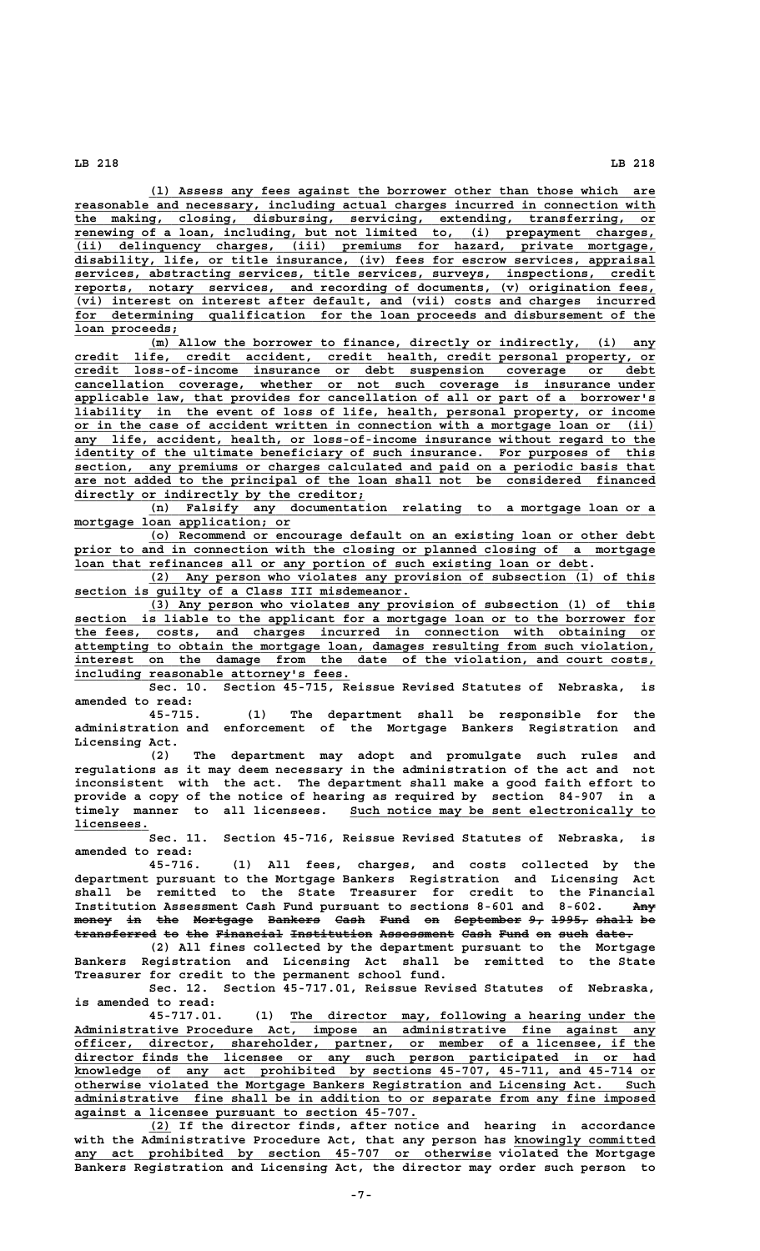**\_\_\_\_\_\_\_\_\_\_\_\_\_\_\_\_\_\_\_\_\_\_\_\_\_\_\_\_\_\_\_\_\_\_\_\_\_\_\_\_\_\_\_\_\_\_\_\_\_\_\_\_\_\_\_\_\_\_\_\_\_\_\_\_\_\_\_\_ (l) Assess any fees against the borrower other than those which are \_\_\_\_\_\_\_\_\_\_\_\_\_\_\_\_\_\_\_\_\_\_\_\_\_\_\_\_\_\_\_\_\_\_\_\_\_\_\_\_\_\_\_\_\_\_\_\_\_\_\_\_\_\_\_\_\_\_\_\_\_\_\_\_\_\_\_\_\_\_\_\_\_\_\_\_\_\_ reasonable and necessary, including actual charges incurred in connection with \_\_\_\_\_\_\_\_\_\_\_\_\_\_\_\_\_\_\_\_\_\_\_\_\_\_\_\_\_\_\_\_\_\_\_\_\_\_\_\_\_\_\_\_\_\_\_\_\_\_\_\_\_\_\_\_\_\_\_\_\_\_\_\_\_\_\_\_\_\_\_\_\_\_\_\_\_\_ the making, closing, disbursing, servicing, extending, transferring, or \_\_\_\_\_\_\_\_\_\_\_\_\_\_\_\_\_\_\_\_\_\_\_\_\_\_\_\_\_\_\_\_\_\_\_\_\_\_\_\_\_\_\_\_\_\_\_\_\_\_\_\_\_\_\_\_\_\_\_\_\_\_\_\_\_\_\_\_\_\_\_\_\_\_\_\_\_\_ renewing of a loan, including, but not limited to, (i) prepayment charges, \_\_\_\_\_\_\_\_\_\_\_\_\_\_\_\_\_\_\_\_\_\_\_\_\_\_\_\_\_\_\_\_\_\_\_\_\_\_\_\_\_\_\_\_\_\_\_\_\_\_\_\_\_\_\_\_\_\_\_\_\_\_\_\_\_\_\_\_\_\_\_\_\_\_\_\_\_\_ (ii) delinquency charges, (iii) premiums for hazard, private mortgage, \_\_\_\_\_\_\_\_\_\_\_\_\_\_\_\_\_\_\_\_\_\_\_\_\_\_\_\_\_\_\_\_\_\_\_\_\_\_\_\_\_\_\_\_\_\_\_\_\_\_\_\_\_\_\_\_\_\_\_\_\_\_\_\_\_\_\_\_\_\_\_\_\_\_\_\_\_\_ disability, life, or title insurance, (iv) fees for escrow services, appraisal \_\_\_\_\_\_\_\_\_\_\_\_\_\_\_\_\_\_\_\_\_\_\_\_\_\_\_\_\_\_\_\_\_\_\_\_\_\_\_\_\_\_\_\_\_\_\_\_\_\_\_\_\_\_\_\_\_\_\_\_\_\_\_\_\_\_\_\_\_\_\_\_\_\_\_\_\_\_ services, abstracting services, title services, surveys, inspections, credit \_\_\_\_\_\_\_\_\_\_\_\_\_\_\_\_\_\_\_\_\_\_\_\_\_\_\_\_\_\_\_\_\_\_\_\_\_\_\_\_\_\_\_\_\_\_\_\_\_\_\_\_\_\_\_\_\_\_\_\_\_\_\_\_\_\_\_\_\_\_\_\_\_\_\_\_\_\_ reports, notary services, and recording of documents, (v) origination fees, \_\_\_\_\_\_\_\_\_\_\_\_\_\_\_\_\_\_\_\_\_\_\_\_\_\_\_\_\_\_\_\_\_\_\_\_\_\_\_\_\_\_\_\_\_\_\_\_\_\_\_\_\_\_\_\_\_\_\_\_\_\_\_\_\_\_\_\_\_\_\_\_\_\_\_\_\_\_ (vi) interest on interest after default, and (vii) costs and charges incurred \_\_\_\_\_\_\_\_\_\_\_\_\_\_\_\_\_\_\_\_\_\_\_\_\_\_\_\_\_\_\_\_\_\_\_\_\_\_\_\_\_\_\_\_\_\_\_\_\_\_\_\_\_\_\_\_\_\_\_\_\_\_\_\_\_\_\_\_\_\_\_\_\_\_\_\_\_\_ for determining qualification for the loan proceeds and disbursement of the**

 **loan proceeds; \_\_\_\_\_\_\_\_\_\_\_\_\_\_**  $\overline{(m)}$  Allow the borrower to finance, directly or indirectly, (i) any  **\_\_\_\_\_\_\_\_\_\_\_\_\_\_\_\_\_\_\_\_\_\_\_\_\_\_\_\_\_\_\_\_\_\_\_\_\_\_\_\_\_\_\_\_\_\_\_\_\_\_\_\_\_\_\_\_\_\_\_\_\_\_\_\_\_\_\_\_\_\_\_\_\_\_\_\_\_\_ credit life, credit accident, credit health, credit personal property, or \_\_\_\_\_\_\_\_\_\_\_\_\_\_\_\_\_\_\_\_\_\_\_\_\_\_\_\_\_\_\_\_\_\_\_\_\_\_\_\_\_\_\_\_\_\_\_\_\_\_\_\_\_\_\_\_\_\_\_\_\_\_\_\_\_\_\_\_\_\_\_\_\_\_\_\_\_\_ credit loss-of-income insurance or debt suspension coverage or debt \_\_\_\_\_\_\_\_\_\_\_\_\_\_\_\_\_\_\_\_\_\_\_\_\_\_\_\_\_\_\_\_\_\_\_\_\_\_\_\_\_\_\_\_\_\_\_\_\_\_\_\_\_\_\_\_\_\_\_\_\_\_\_\_\_\_\_\_\_\_\_\_\_\_\_\_\_\_ cancellation coverage, whether or not such coverage is insurance under \_\_\_\_\_\_\_\_\_\_\_\_\_\_\_\_\_\_\_\_\_\_\_\_\_\_\_\_\_\_\_\_\_\_\_\_\_\_\_\_\_\_\_\_\_\_\_\_\_\_\_\_\_\_\_\_\_\_\_\_\_\_\_\_\_\_\_\_\_\_\_\_\_\_\_\_\_\_ applicable law, that provides for cancellation of all or part of a borrower's \_\_\_\_\_\_\_\_\_\_\_\_\_\_\_\_\_\_\_\_\_\_\_\_\_\_\_\_\_\_\_\_\_\_\_\_\_\_\_\_\_\_\_\_\_\_\_\_\_\_\_\_\_\_\_\_\_\_\_\_\_\_\_\_\_\_\_\_\_\_\_\_\_\_\_\_\_\_ liability in the event of loss of life, health, personal property, or income** or in the case of accident written in connection with a mortgage loan or (ii) any life, accident, health, or loss-of-income insurance without regard to the identity of the ultimate beneficiary of such insurance. For purposes of this<br>section, any premiums or charges calculated and paid on a periodic basis that  **\_\_\_\_\_\_\_\_\_\_\_\_\_\_\_\_\_\_\_\_\_\_\_\_\_\_\_\_\_\_\_\_\_\_\_\_\_\_\_\_\_\_\_\_\_\_\_\_\_\_\_\_\_\_\_\_\_\_\_\_\_\_\_\_\_\_\_\_\_\_\_\_\_\_\_\_\_\_ section, any premiums or charges calculated and paid on a periodic basis that** are not added to the principal of the loan shall not be considered financed  **\_\_\_\_\_\_\_\_\_\_\_\_\_\_\_\_\_\_\_\_\_\_\_\_\_\_\_\_\_\_\_\_\_\_\_\_\_\_\_ directly or indirectly by the creditor;**

 **\_\_\_\_\_\_\_\_\_\_\_\_\_\_\_\_\_\_\_\_\_\_\_\_\_\_\_\_\_\_\_\_\_\_\_\_\_\_\_\_\_\_\_\_\_\_\_\_\_\_\_\_\_\_\_\_\_\_\_\_\_\_\_\_\_\_\_\_ (n) Falsify any documentation relating to a mortgage loan or a \_\_\_\_\_\_\_\_\_\_\_\_\_\_\_\_\_\_\_\_\_\_\_\_\_\_\_\_\_ mortgage loan application; or**

 **\_\_\_\_\_\_\_\_\_\_\_\_\_\_\_\_\_\_\_\_\_\_\_\_\_\_\_\_\_\_\_\_\_\_\_\_\_\_\_\_\_\_\_\_\_\_\_\_\_\_\_\_\_\_\_\_\_\_\_\_\_\_\_\_\_\_\_\_ (o) Recommend or encourage default on an existing loan or other debt** prior to and in connection with the closing or planned closing of a mortgage  **\_\_\_\_\_\_\_\_\_\_\_\_\_\_\_\_\_\_\_\_\_\_\_\_\_\_\_\_\_\_\_\_\_\_\_\_\_\_\_\_\_\_\_\_\_\_\_\_\_\_\_\_\_\_\_\_\_\_\_\_\_\_\_\_\_\_\_\_\_ loan that refinances all or any portion of such existing loan or debt.**

 **\_\_\_\_\_\_\_\_\_\_\_\_\_\_\_\_\_\_\_\_\_\_\_\_\_\_\_\_\_\_\_\_\_\_\_\_\_\_\_\_\_\_\_\_\_\_\_\_\_\_\_\_\_\_\_\_\_\_\_\_\_\_\_\_\_\_\_\_ (2) Any person who violates any provision of subsection (1) of this \_\_\_\_\_\_\_\_\_\_\_\_\_\_\_\_\_\_\_\_\_\_\_\_\_\_\_\_\_\_\_\_\_\_\_\_\_\_\_\_\_\_\_\_\_ section is guilty of a Class III misdemeanor.**

 **\_\_\_\_\_\_\_\_\_\_\_\_\_\_\_\_\_\_\_\_\_\_\_\_\_\_\_\_\_\_\_\_\_\_\_\_\_\_\_\_\_\_\_\_\_\_\_\_\_\_\_\_\_\_\_\_\_\_\_\_\_\_\_\_\_\_\_\_ (3) Any person who violates any provision of subsection (1) of this \_\_\_\_\_\_\_\_\_\_\_\_\_\_\_\_\_\_\_\_\_\_\_\_\_\_\_\_\_\_\_\_\_\_\_\_\_\_\_\_\_\_\_\_\_\_\_\_\_\_\_\_\_\_\_\_\_\_\_\_\_\_\_\_\_\_\_\_\_\_\_\_\_\_\_\_\_\_ section is liable to the applicant for a mortgage loan or to the borrower for \_\_\_\_\_\_\_\_\_\_\_\_\_\_\_\_\_\_\_\_\_\_\_\_\_\_\_\_\_\_\_\_\_\_\_\_\_\_\_\_\_\_\_\_\_\_\_\_\_\_\_\_\_\_\_\_\_\_\_\_\_\_\_\_\_\_\_\_\_\_\_\_\_\_\_\_\_\_ the fees, costs, and charges incurred in connection with obtaining or \_\_\_\_\_\_\_\_\_\_\_\_\_\_\_\_\_\_\_\_\_\_\_\_\_\_\_\_\_\_\_\_\_\_\_\_\_\_\_\_\_\_\_\_\_\_\_\_\_\_\_\_\_\_\_\_\_\_\_\_\_\_\_\_\_\_\_\_\_\_\_\_\_\_\_\_\_\_ attempting to obtain the mortgage loan, damages resulting from such violation,** interest on the damage from the date of the violation, and court costs,  **\_\_\_\_\_\_\_\_\_\_\_\_\_\_\_\_\_\_\_\_\_\_\_\_\_\_\_\_\_\_\_\_\_\_\_\_\_ including reasonable attorney's fees.**

**Sec. 10. Section 45-715, Reissue Revised Statutes of Nebraska, is amended to read:**

**45-715. (1) The department shall be responsible for the administration and enforcement of the Mortgage Bankers Registration and Licensing Act.**

**(2) The department may adopt and promulgate such rules and regulations as it may deem necessary in the administration of the act and not inconsistent with the act. The department shall make a good faith effort to provide a copy of the notice of hearing as required by section 84-907 in a \_\_\_\_\_\_\_\_\_\_\_\_\_\_\_\_\_\_\_\_\_\_\_\_\_\_\_\_\_\_\_\_\_\_\_\_\_\_\_\_\_ timely manner to all licensees. Such notice may be sent electronically to licensees. \_\_\_\_\_\_\_\_\_\_**

**Sec. 11. Section 45-716, Reissue Revised Statutes of Nebraska, is amended to read:**

**45-716. (1) All fees, charges, and costs collected by the department pursuant to the Mortgage Bankers Registration and Licensing Act shall be remitted to the State Treasurer for credit to the Financial** Institution Assessment Cash Fund pursuant to sections 8-601 and 8-602. Any money in the Mortgage Bankers Cash Fund on September 9, 1995, shall be transferred to the Financial Institution Assessment Cash Fund on such date.

**(2) All fines collected by the department pursuant to the Mortgage Bankers Registration and Licensing Act shall be remitted to the State Treasurer for credit to the permanent school fund.**

**Sec. 12. Section 45-717.01, Reissue Revised Statutes of Nebraska, is amended to read:**

 **\_\_\_\_\_\_\_\_\_\_\_\_\_\_\_\_\_\_\_\_\_\_\_\_\_\_\_\_\_\_\_\_\_\_\_\_\_\_\_\_\_\_\_\_\_\_\_\_\_ 45-717.01. (1) The director may, following a hearing under the \_\_\_\_\_\_\_\_\_\_\_\_\_\_\_\_\_\_\_\_\_\_\_\_\_\_\_\_\_\_\_\_\_\_\_\_\_\_\_\_\_\_\_\_\_\_\_\_\_\_\_\_\_\_\_\_\_\_\_\_\_\_\_\_\_\_\_\_\_\_\_\_\_\_\_\_\_\_ Administrative Procedure Act, impose an administrative fine against any \_\_\_\_\_\_\_\_\_\_\_\_\_\_\_\_\_\_\_\_\_\_\_\_\_\_\_\_\_\_\_\_\_\_\_\_\_\_\_\_\_\_\_\_\_\_\_\_\_\_\_\_\_\_\_\_\_\_\_\_\_\_\_\_\_\_\_\_\_\_\_\_\_\_\_\_\_\_ officer, director, shareholder, partner, or member of a licensee, if the \_\_\_\_\_\_\_\_\_\_\_\_\_\_\_\_\_\_\_\_\_\_\_\_\_\_\_\_\_\_\_\_\_\_\_\_\_\_\_\_\_\_\_\_\_\_\_\_\_\_\_\_\_\_\_\_\_\_\_\_\_\_\_\_\_\_\_\_\_\_\_\_\_\_\_\_\_\_ director finds the licensee or any such person participated in or had \_\_\_\_\_\_\_\_\_\_\_\_\_\_\_\_\_\_\_\_\_\_\_\_\_\_\_\_\_\_\_\_\_\_\_\_\_\_\_\_\_\_\_\_\_\_\_\_\_\_\_\_\_\_\_\_\_\_\_\_\_\_\_\_\_\_\_\_\_\_\_\_\_\_\_\_\_\_ knowledge of any act prohibited by sections 45-707, 45-711, and 45-714 or \_\_\_\_\_\_\_\_\_\_\_\_\_\_\_\_\_\_\_\_\_\_\_\_\_\_\_\_\_\_\_\_\_\_\_\_\_\_\_\_\_\_\_\_\_\_\_\_\_\_\_\_\_\_\_\_\_\_\_\_\_\_\_\_\_\_\_\_\_\_\_\_\_\_\_\_\_\_ otherwise violated the Mortgage Bankers Registration and Licensing Act. Such \_\_\_\_\_\_\_\_\_\_\_\_\_\_\_\_\_\_\_\_\_\_\_\_\_\_\_\_\_\_\_\_\_\_\_\_\_\_\_\_\_\_\_\_\_\_\_\_\_\_\_\_\_\_\_\_\_\_\_\_\_\_\_\_\_\_\_\_\_\_\_\_\_\_\_\_\_\_ administrative fine shall be in addition to or separate from any fine imposed \_\_\_\_\_\_\_\_\_\_\_\_\_\_\_\_\_\_\_\_\_\_\_\_\_\_\_\_\_\_\_\_\_\_\_\_\_\_\_\_\_\_\_\_\_\_ against a licensee pursuant to section 45-707.**

 **\_\_\_ (2) If the director finds, after notice and hearing in accordance with the Administrative Procedure Act, that any person has knowingly committed \_\_\_\_\_\_\_\_\_\_\_\_\_\_\_\_\_\_\_ \_\_\_\_\_\_\_\_\_\_\_\_\_\_\_\_\_\_\_\_\_\_\_\_\_\_\_\_\_\_\_\_\_\_\_\_\_\_\_\_\_\_\_\_\_\_\_\_\_\_\_\_\_\_\_\_ any act prohibited by section 45-707 or otherwise violated the Mortgage Bankers Registration and Licensing Act, the director may order such person to**

 **-7-**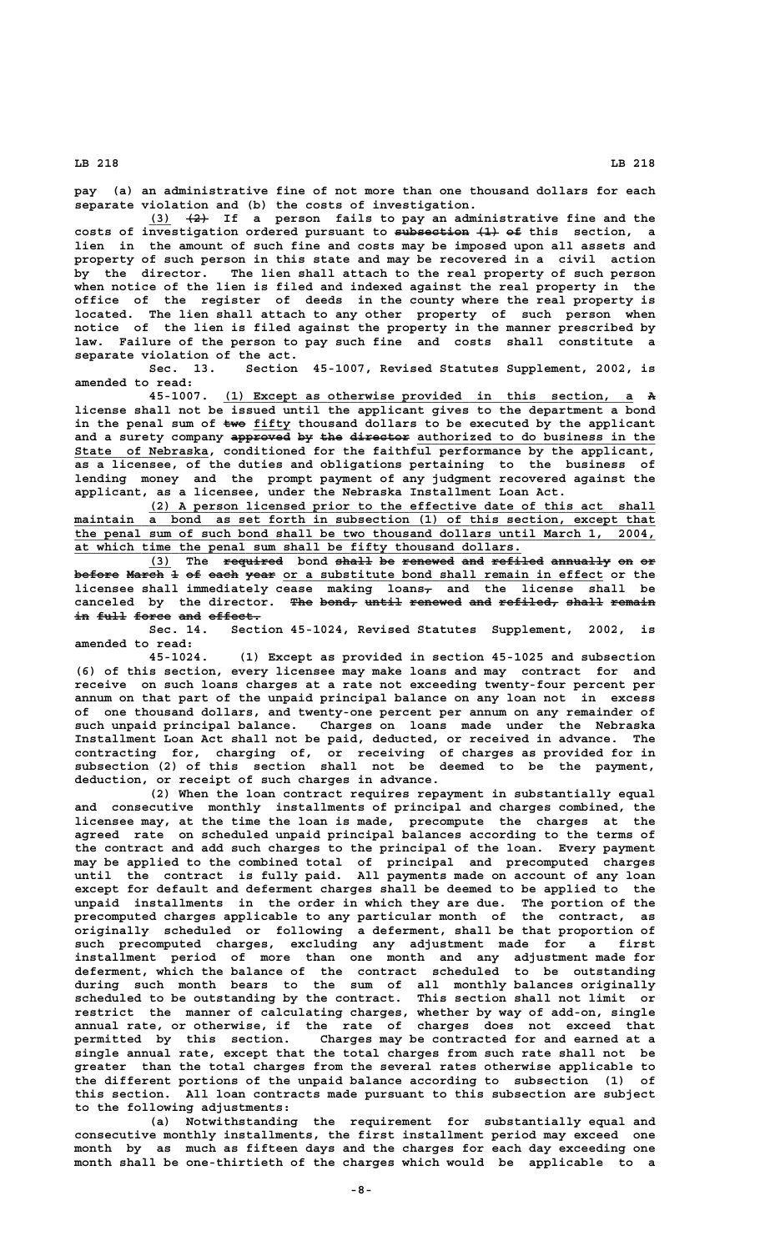**pay (a) an administrative fine of not more than one thousand dollars for each separate violation and (b) the costs of investigation.**

 **\_\_\_ ——— (3) (2) If a person fails to pay an administrative fine and the** costs of investigation ordered pursuant to subsection  $\{1\}$  of this section, a **lien in the amount of such fine and costs may be imposed upon all assets and property of such person in this state and may be recovered in a civil action by the director. The lien shall attach to the real property of such person when notice of the lien is filed and indexed against the real property in the office of the register of deeds in the county where the real property is located. The lien shall attach to any other property of such person when notice of the lien is filed against the property in the manner prescribed by law. Failure of the person to pay such fine and costs shall constitute a separate violation of the act.**

**Sec. 13. Section 45-1007, Revised Statutes Supplement, 2002, is amended to read:**

 **\_\_\_\_\_\_\_\_\_\_\_\_\_\_\_\_\_\_\_\_\_\_\_\_\_\_\_\_\_\_\_\_\_\_\_\_\_\_\_\_\_\_\_\_\_\_\_\_\_\_\_\_\_\_\_ — 45-1007. (1) Except as otherwise provided in this section, a A license shall not be issued until the applicant gives to the department a bond** in the penal sum of  $\text{two}$  fifty thousand dollars to be executed by the applicant and a surety company approved by the director authorized to do business in the State of Nebraska, conditioned for the faithful performance by the applicant, **as a licensee, of the duties and obligations pertaining to the business of lending money and the prompt payment of any judgment recovered against the applicant, as a licensee, under the Nebraska Installment Loan Act.**

 **\_\_\_\_\_\_\_\_\_\_\_\_\_\_\_\_\_\_\_\_\_\_\_\_\_\_\_\_\_\_\_\_\_\_\_\_\_\_\_\_\_\_\_\_\_\_\_\_\_\_\_\_\_\_\_\_\_\_\_\_\_\_\_\_\_\_\_\_ (2) A person licensed prior to the effective date of this act shall \_\_\_\_\_\_\_\_\_\_\_\_\_\_\_\_\_\_\_\_\_\_\_\_\_\_\_\_\_\_\_\_\_\_\_\_\_\_\_\_\_\_\_\_\_\_\_\_\_\_\_\_\_\_\_\_\_\_\_\_\_\_\_\_\_\_\_\_\_\_\_\_\_\_\_\_\_\_ maintain a bond as set forth in subsection (1) of this section, except that \_\_\_\_\_\_\_\_\_\_\_\_\_\_\_\_\_\_\_\_\_\_\_\_\_\_\_\_\_\_\_\_\_\_\_\_\_\_\_\_\_\_\_\_\_\_\_\_\_\_\_\_\_\_\_\_\_\_\_\_\_\_\_\_\_\_\_\_\_\_\_\_\_\_\_\_\_\_ the penal sum of such bond shall be two thousand dollars until March 1, 2004, \_\_\_\_\_\_\_\_\_\_\_\_\_\_\_\_\_\_\_\_\_\_\_\_\_\_\_\_\_\_\_\_\_\_\_\_\_\_\_\_\_\_\_\_\_\_\_\_\_\_\_\_\_\_\_\_\_\_\_\_ at which time the penal sum shall be fifty thousand dollars.**

**(3)** The required bond shall be renewed and refiled annually on or before March 1 of each year or a substitute bond shall remain in effect or the **licensee shall immediately cease making loans, and the license shall be**  canceled by the director. The bond, until renewed and refiled, shall remain  $in$  full force and effect.

**Sec. 14. Section 45-1024, Revised Statutes Supplement, 2002, is amended to read:**

**45-1024. (1) Except as provided in section 45-1025 and subsection (6) of this section, every licensee may make loans and may contract for and receive on such loans charges at a rate not exceeding twenty-four percent per annum on that part of the unpaid principal balance on any loan not in excess of one thousand dollars, and twenty-one percent per annum on any remainder of such unpaid principal balance. Charges on loans made under the Nebraska Installment Loan Act shall not be paid, deducted, or received in advance. The contracting for, charging of, or receiving of charges as provided for in subsection (2) of this section shall not be deemed to be the payment, deduction, or receipt of such charges in advance.**

**(2) When the loan contract requires repayment in substantially equal and consecutive monthly installments of principal and charges combined, the licensee may, at the time the loan is made, precompute the charges at the agreed rate on scheduled unpaid principal balances according to the terms of the contract and add such charges to the principal of the loan. Every payment may be applied to the combined total of principal and precomputed charges until the contract is fully paid. All payments made on account of any loan except for default and deferment charges shall be deemed to be applied to the unpaid installments in the order in which they are due. The portion of the precomputed charges applicable to any particular month of the contract, as originally scheduled or following a deferment, shall be that proportion of such precomputed charges, excluding any adjustment made for a first installment period of more than one month and any adjustment made for deferment, which the balance of the contract scheduled to be outstanding during such month bears to the sum of all monthly balances originally scheduled to be outstanding by the contract. This section shall not limit or restrict the manner of calculating charges, whether by way of add-on, single annual rate, or otherwise, if the rate of charges does not exceed that permitted by this section. Charges may be contracted for and earned at a single annual rate, except that the total charges from such rate shall not be greater than the total charges from the several rates otherwise applicable to the different portions of the unpaid balance according to subsection (1) of this section. All loan contracts made pursuant to this subsection are subject to the following adjustments:**

**(a) Notwithstanding the requirement for substantially equal and consecutive monthly installments, the first installment period may exceed one month by as much as fifteen days and the charges for each day exceeding one month shall be one-thirtieth of the charges which would be applicable to a**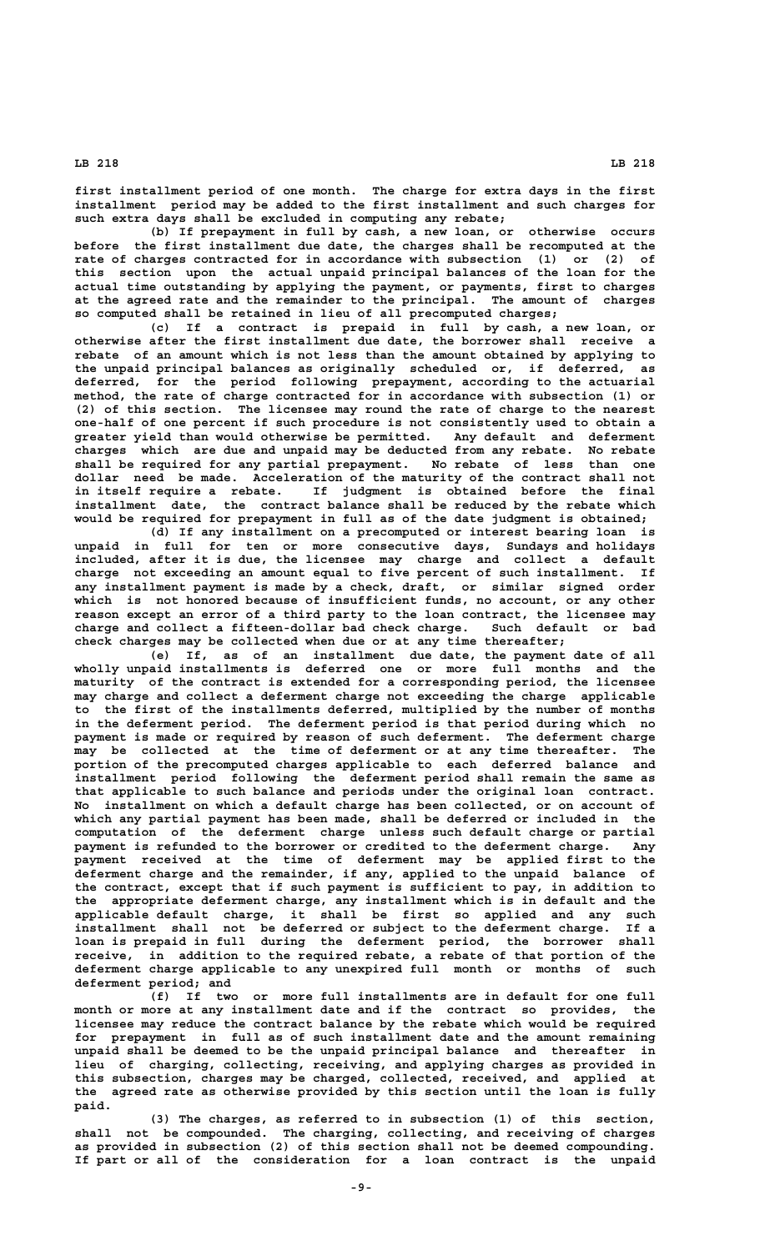**first installment period of one month. The charge for extra days in the first installment period may be added to the first installment and such charges for such extra days shall be excluded in computing any rebate;**

**(b) If prepayment in full by cash, a new loan, or otherwise occurs before the first installment due date, the charges shall be recomputed at the rate of charges contracted for in accordance with subsection (1) or (2) of this section upon the actual unpaid principal balances of the loan for the actual time outstanding by applying the payment, or payments, first to charges at the agreed rate and the remainder to the principal. The amount of charges so computed shall be retained in lieu of all precomputed charges;**

**(c) If a contract is prepaid in full by cash, a new loan, or otherwise after the first installment due date, the borrower shall receive a rebate of an amount which is not less than the amount obtained by applying to the unpaid principal balances as originally scheduled or, if deferred, as deferred, for the period following prepayment, according to the actuarial method, the rate of charge contracted for in accordance with subsection (1) or (2) of this section. The licensee may round the rate of charge to the nearest one-half of one percent if such procedure is not consistently used to obtain a greater yield than would otherwise be permitted. Any default and deferment charges which are due and unpaid may be deducted from any rebate. No rebate shall be required for any partial prepayment. No rebate of less than one dollar need be made. Acceleration of the maturity of the contract shall not in itself require a rebate. If judgment is obtained before the final installment date, the contract balance shall be reduced by the rebate which would be required for prepayment in full as of the date judgment is obtained;**

**(d) If any installment on a precomputed or interest bearing loan is unpaid in full for ten or more consecutive days, Sundays and holidays included, after it is due, the licensee may charge and collect a default charge not exceeding an amount equal to five percent of such installment. If any installment payment is made by a check, draft, or similar signed order which is not honored because of insufficient funds, no account, or any other reason except an error of a third party to the loan contract, the licensee may charge and collect a fifteen-dollar bad check charge. Such default or bad check charges may be collected when due or at any time thereafter;**

**(e) If, as of an installment due date, the payment date of all wholly unpaid installments is deferred one or more full months and the maturity of the contract is extended for a corresponding period, the licensee may charge and collect a deferment charge not exceeding the charge applicable to the first of the installments deferred, multiplied by the number of months in the deferment period. The deferment period is that period during which no payment is made or required by reason of such deferment. The deferment charge may be collected at the time of deferment or at any time thereafter. The portion of the precomputed charges applicable to each deferred balance and installment period following the deferment period shall remain the same as that applicable to such balance and periods under the original loan contract. No installment on which a default charge has been collected, or on account of which any partial payment has been made, shall be deferred or included in the computation of the deferment charge unless such default charge or partial payment is refunded to the borrower or credited to the deferment charge. Any payment received at the time of deferment may be applied first to the deferment charge and the remainder, if any, applied to the unpaid balance of the contract, except that if such payment is sufficient to pay, in addition to the appropriate deferment charge, any installment which is in default and the applicable default charge, it shall be first so applied and any such installment shall not be deferred or subject to the deferment charge. If a loan is prepaid in full during the deferment period, the borrower shall receive, in addition to the required rebate, a rebate of that portion of the deferment charge applicable to any unexpired full month or months of such deferment period; and**

**(f) If two or more full installments are in default for one full month or more at any installment date and if the contract so provides, the licensee may reduce the contract balance by the rebate which would be required for prepayment in full as of such installment date and the amount remaining unpaid shall be deemed to be the unpaid principal balance and thereafter in lieu of charging, collecting, receiving, and applying charges as provided in this subsection, charges may be charged, collected, received, and applied at the agreed rate as otherwise provided by this section until the loan is fully paid.**

**(3) The charges, as referred to in subsection (1) of this section, shall not be compounded. The charging, collecting, and receiving of charges as provided in subsection (2) of this section shall not be deemed compounding. If part or all of the consideration for a loan contract is the unpaid**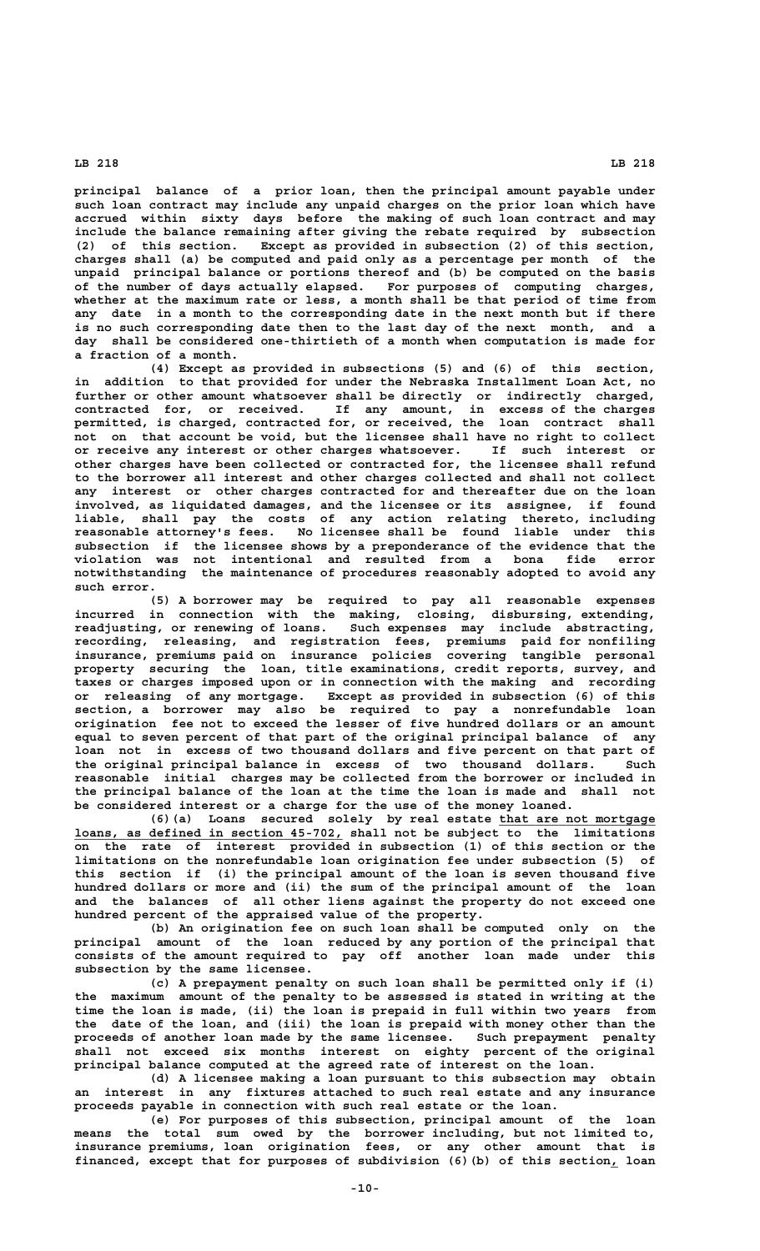**principal balance of a prior loan, then the principal amount payable under such loan contract may include any unpaid charges on the prior loan which have accrued within sixty days before the making of such loan contract and may include the balance remaining after giving the rebate required by subsection (2) of this section. Except as provided in subsection (2) of this section, charges shall (a) be computed and paid only as a percentage per month of the unpaid principal balance or portions thereof and (b) be computed on the basis of the number of days actually elapsed. For purposes of computing charges, whether at the maximum rate or less, a month shall be that period of time from any date in a month to the corresponding date in the next month but if there is no such corresponding date then to the last day of the next month, and a day shall be considered one-thirtieth of a month when computation is made for a fraction of a month.**

**(4) Except as provided in subsections (5) and (6) of this section, in addition to that provided for under the Nebraska Installment Loan Act, no further or other amount whatsoever shall be directly or indirectly charged, contracted for, or received. If any amount, in excess of the charges permitted, is charged, contracted for, or received, the loan contract shall not on that account be void, but the licensee shall have no right to collect or receive any interest or other charges whatsoever. If such interest or other charges have been collected or contracted for, the licensee shall refund to the borrower all interest and other charges collected and shall not collect any interest or other charges contracted for and thereafter due on the loan involved, as liquidated damages, and the licensee or its assignee, if found liable, shall pay the costs of any action relating thereto, including reasonable attorney's fees. No licensee shall be found liable under this subsection if the licensee shows by a preponderance of the evidence that the violation was not intentional and resulted from a bona fide error notwithstanding the maintenance of procedures reasonably adopted to avoid any such error.**

**(5) A borrower may be required to pay all reasonable expenses incurred in connection with the making, closing, disbursing, extending, readjusting, or renewing of loans. Such expenses may include abstracting, recording, releasing, and registration fees, premiums paid for nonfiling insurance, premiums paid on insurance policies covering tangible personal property securing the loan, title examinations, credit reports, survey, and taxes or charges imposed upon or in connection with the making and recording or releasing of any mortgage. Except as provided in subsection (6) of this section, a borrower may also be required to pay a nonrefundable loan origination fee not to exceed the lesser of five hundred dollars or an amount equal to seven percent of that part of the original principal balance of any loan not in excess of two thousand dollars and five percent on that part of the original principal balance in excess of two thousand dollars. Such reasonable initial charges may be collected from the borrower or included in the principal balance of the loan at the time the loan is made and shall not be considered interest or a charge for the use of the money loaned.**

**(6)(a) Loans secured solely by real estate that are not mortgage \_\_\_\_\_\_\_\_\_\_\_\_\_\_\_\_\_\_\_\_\_ \_\_\_\_\_\_\_\_\_\_\_\_\_\_\_\_\_\_\_\_\_\_\_\_\_\_\_\_\_\_\_\_\_\_\_\_ loans, as defined in section 45-702, shall not be subject to the limitations on the rate of interest provided in subsection (1) of this section or the limitations on the nonrefundable loan origination fee under subsection (5) of this section if (i) the principal amount of the loan is seven thousand five hundred dollars or more and (ii) the sum of the principal amount of the loan and the balances of all other liens against the property do not exceed one hundred percent of the appraised value of the property.**

**(b) An origination fee on such loan shall be computed only on the principal amount of the loan reduced by any portion of the principal that consists of the amount required to pay off another loan made under this subsection by the same licensee.**

**(c) A prepayment penalty on such loan shall be permitted only if (i) the maximum amount of the penalty to be assessed is stated in writing at the time the loan is made, (ii) the loan is prepaid in full within two years from the date of the loan, and (iii) the loan is prepaid with money other than the proceeds of another loan made by the same licensee. Such prepayment penalty shall not exceed six months interest on eighty percent of the original principal balance computed at the agreed rate of interest on the loan.**

**(d) A licensee making a loan pursuant to this subsection may obtain an interest in any fixtures attached to such real estate and any insurance proceeds payable in connection with such real estate or the loan.**

**(e) For purposes of this subsection, principal amount of the loan means the total sum owed by the borrower including, but not limited to, insurance premiums, loan origination fees, or any other amount that is** financed, except that for purposes of subdivision  $(6)$  (b) of this section<sub>1</sub> loan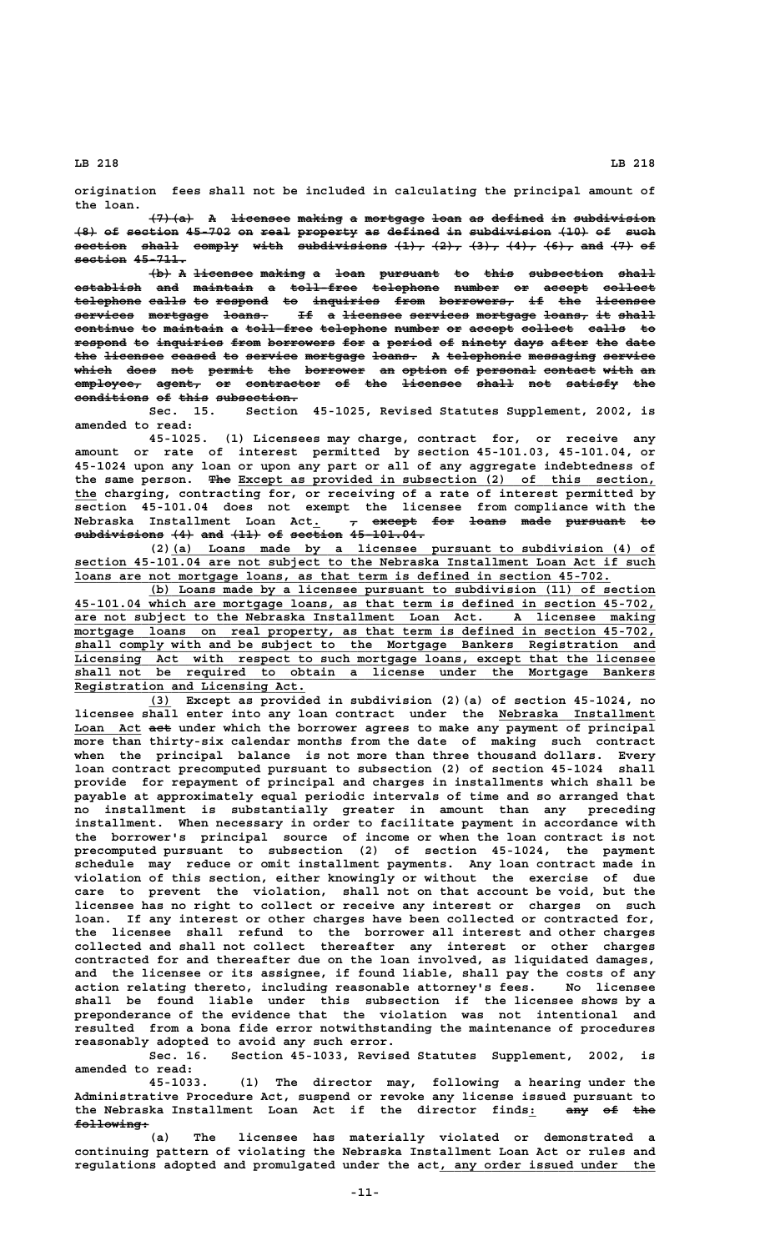**origination fees shall not be included in calculating the principal amount of the loan.**

**(7)(a) A licensee making a mortgage loan as defined in subdivision —————— — ———————— —————— — ———————— ———— —— ——————— —— ———————————**  $\{8\}$  of section 45-702 on real property as defined in subdivision  $\{10\}$  of such section shall comply with subdivisions  $(1)$ ,  $(2)$ ,  $(3)$ ,  $(4)$ ,  $(6)$ , and  $(7)$  of **section 45-711.** 

 $\overline{a}$  (b) A licensee making a loan pursuant to this subsection shall **establish and maintain a toll-free telephone number or accept collect ————————— ——— ———————— — ————————— ————————— —————— —— —————— —————— telephone calls to respond to inquiries from borrowers, if the licensee ————————— ————— —— ——————— —— ————————— ———— —————————— —— ——— ——————— services mortgage loans. If a licensee services mortgage loans, it shall ———————— ———————— —————— —— — ———————— ———————— ———————— —————— —— ————** continue to maintain a toll-free telephone number or accept collect calls to respond to inquiries from borrowers for a period of ninety days after the date the licensee ceased to service mortgage loans. A telephonic messaging service **which does not permit the borrower an option of personal contact with an ————— ———— ——— —————— ——— ———————— —— —————— —— ———————— ——————— ———— ——**  $\overline{\text{employee}}$ , agent, or contractor of the <del>licensee shall</del> not satisfy the **conditions of this subsection. —————————— —— ———— ———————————**

**Sec. 15. Section 45-1025, Revised Statutes Supplement, 2002, is amended to read:**

**45-1025. (1) Licensees may charge, contract for, or receive any amount or rate of interest permitted by section 45-101.03, 45-101.04, or 45-1024 upon any loan or upon any part or all of any aggregate indebtedness of** the same person. The Except as provided in subsection (2) of this section,  **\_\_\_ the charging, contracting for, or receiving of a rate of interest permitted by section 45-101.04 does not exempt the licensee from compliance with the Nebraska Installment Loan Act. , except for loans made pursuant to \_ — —————— ——— ————— ———— ———————— — subdivisions (4) and (11) of section 45-101.04. ———————————— ——— ——— ———— —— ——————— ——————————**

 **\_\_\_\_\_\_\_\_\_\_\_\_\_\_\_\_\_\_\_\_\_\_\_\_\_\_\_\_\_\_\_\_\_\_\_\_\_\_\_\_\_\_\_\_\_\_\_\_\_\_\_\_\_\_\_\_\_\_\_\_\_\_\_\_\_ (2)(a) Loans made by a licensee pursuant to subdivision (4) of \_\_\_\_\_\_\_\_\_\_\_\_\_\_\_\_\_\_\_\_\_\_\_\_\_\_\_\_\_\_\_\_\_\_\_\_\_\_\_\_\_\_\_\_\_\_\_\_\_\_\_\_\_\_\_\_\_\_\_\_\_\_\_\_\_\_\_\_\_\_\_\_\_\_\_\_\_\_ section 45-101.04 are not subject to the Nebraska Installment Loan Act if such \_\_\_\_\_\_\_\_\_\_\_\_\_\_\_\_\_\_\_\_\_\_\_\_\_\_\_\_\_\_\_\_\_\_\_\_\_\_\_\_\_\_\_\_\_\_\_\_\_\_\_\_\_\_\_\_\_\_\_\_\_\_\_\_\_\_\_\_\_\_\_\_ loans are not mortgage loans, as that term is defined in section 45-702.**

 **\_\_\_\_\_\_\_\_\_\_\_\_\_\_\_\_\_\_\_\_\_\_\_\_\_\_\_\_\_\_\_\_\_\_\_\_\_\_\_\_\_\_\_\_\_\_\_\_\_\_\_\_\_\_\_\_\_\_\_\_\_\_\_\_\_\_\_\_ (b) Loans made by a licensee pursuant to subdivision (11) of section \_\_\_\_\_\_\_\_\_\_\_\_\_\_\_\_\_\_\_\_\_\_\_\_\_\_\_\_\_\_\_\_\_\_\_\_\_\_\_\_\_\_\_\_\_\_\_\_\_\_\_\_\_\_\_\_\_\_\_\_\_\_\_\_\_\_\_\_\_\_\_\_\_\_\_\_\_\_ 45-101.04 which are mortgage loans, as that term is defined in section 45-702, \_\_\_\_\_\_\_\_\_\_\_\_\_\_\_\_\_\_\_\_\_\_\_\_\_\_\_\_\_\_\_\_\_\_\_\_\_\_\_\_\_\_\_\_\_\_\_\_\_\_\_\_\_\_\_\_\_\_\_\_\_\_\_\_\_\_\_\_\_\_\_\_\_\_\_\_\_\_ are not subject to the Nebraska Installment Loan Act. A licensee making \_\_\_\_\_\_\_\_\_\_\_\_\_\_\_\_\_\_\_\_\_\_\_\_\_\_\_\_\_\_\_\_\_\_\_\_\_\_\_\_\_\_\_\_\_\_\_\_\_\_\_\_\_\_\_\_\_\_\_\_\_\_\_\_\_\_\_\_\_\_\_\_\_\_\_\_\_\_ mortgage loans on real property, as that term is defined in section 45-702, \_\_\_\_\_\_\_\_\_\_\_\_\_\_\_\_\_\_\_\_\_\_\_\_\_\_\_\_\_\_\_\_\_\_\_\_\_\_\_\_\_\_\_\_\_\_\_\_\_\_\_\_\_\_\_\_\_\_\_\_\_\_\_\_\_\_\_\_\_\_\_\_\_\_\_\_\_\_ shall comply with and be subject to the Mortgage Bankers Registration and \_\_\_\_\_\_\_\_\_\_\_\_\_\_\_\_\_\_\_\_\_\_\_\_\_\_\_\_\_\_\_\_\_\_\_\_\_\_\_\_\_\_\_\_\_\_\_\_\_\_\_\_\_\_\_\_\_\_\_\_\_\_\_\_\_\_\_\_\_\_\_\_\_\_\_\_\_\_ Licensing Act with respect to such mortgage loans, except that the licensee \_\_\_\_\_\_\_\_\_\_\_\_\_\_\_\_\_\_\_\_\_\_\_\_\_\_\_\_\_\_\_\_\_\_\_\_\_\_\_\_\_\_\_\_\_\_\_\_\_\_\_\_\_\_\_\_\_\_\_\_\_\_\_\_\_\_\_\_\_\_\_\_\_\_\_\_\_\_ shall not be required to obtain a license under the Mortgage Bankers \_\_\_\_\_\_\_\_\_\_\_\_\_\_\_\_\_\_\_\_\_\_\_\_\_\_\_\_\_\_\_ Registration and Licensing Act.**

 **\_\_\_ (3) Except as provided in subdivision (2)(a) of section 45-1024, no licensee shall enter into any loan contract under the Nebraska Installment \_\_\_\_\_\_\_\_\_\_\_\_\_\_\_\_\_\_\_\_\_** Loan Act aet under which the borrower agrees to make any payment of principal **more than thirty-six calendar months from the date of making such contract when the principal balance is not more than three thousand dollars. Every loan contract precomputed pursuant to subsection (2) of section 45-1024 shall provide for repayment of principal and charges in installments which shall be payable at approximately equal periodic intervals of time and so arranged that no installment is substantially greater in amount than any preceding installment. When necessary in order to facilitate payment in accordance with the borrower's principal source of income or when the loan contract is not precomputed pursuant to subsection (2) of section 45-1024, the payment schedule may reduce or omit installment payments. Any loan contract made in violation of this section, either knowingly or without the exercise of due care to prevent the violation, shall not on that account be void, but the licensee has no right to collect or receive any interest or charges on such loan. If any interest or other charges have been collected or contracted for, the licensee shall refund to the borrower all interest and other charges collected and shall not collect thereafter any interest or other charges contracted for and thereafter due on the loan involved, as liquidated damages, and the licensee or its assignee, if found liable, shall pay the costs of any action relating thereto, including reasonable attorney's fees. No licensee shall be found liable under this subsection if the licensee shows by a preponderance of the evidence that the violation was not intentional and resulted from a bona fide error notwithstanding the maintenance of procedures reasonably adopted to avoid any such error.**

**Sec. 16. Section 45-1033, Revised Statutes Supplement, 2002, is amended to read:**

**45-1033. (1) The director may, following a hearing under the Administrative Procedure Act, suspend or revoke any license issued pursuant to** the Nebraska Installment Loan Act if the director finds<sub>: any of the</sub>  **following: ——————————**

**(a) The licensee has materially violated or demonstrated a continuing pattern of violating the Nebraska Installment Loan Act or rules and** regulations adopted and promulgated under the act, any order issued under the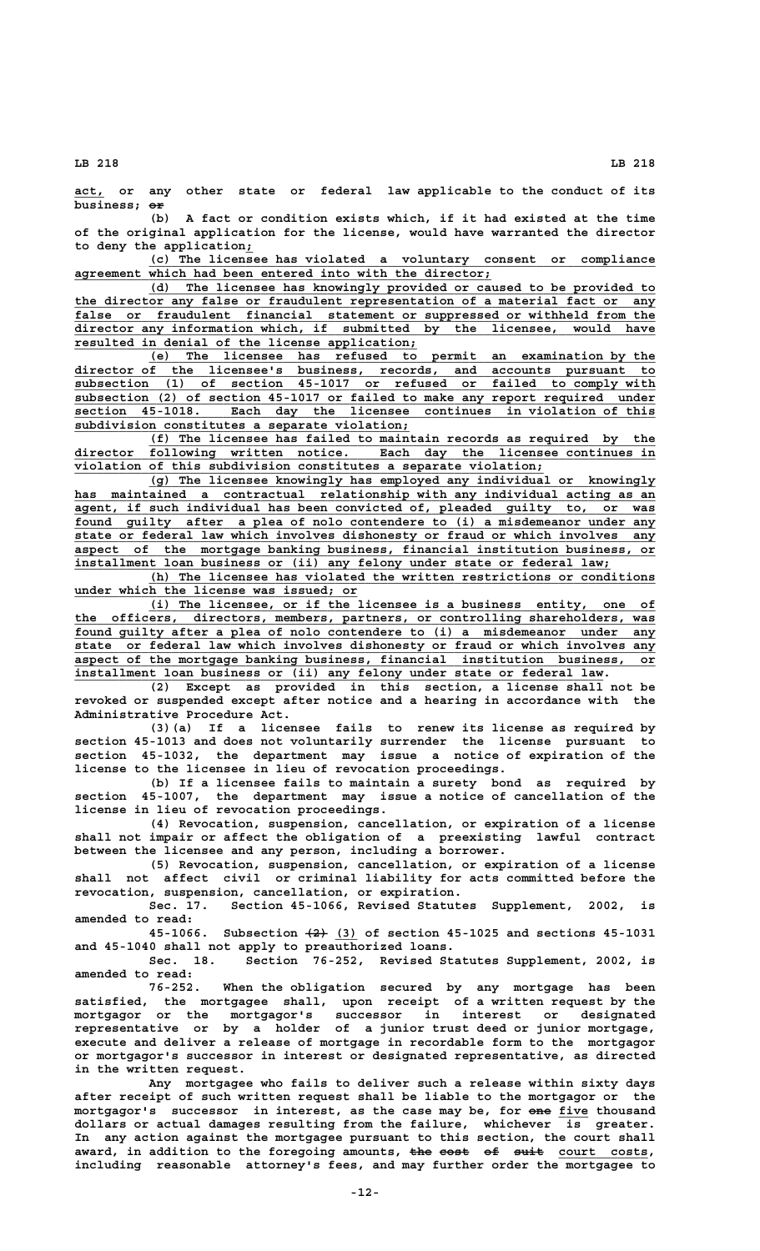**\_\_\_\_ act, or any other state or federal law applicable to the conduct of its business;**  $\overline{or}$ 

**(b) A fact or condition exists which, if it had existed at the time of the original application for the license, would have warranted the director \_ to deny the application;**

 **\_\_\_\_\_\_\_\_\_\_\_\_\_\_\_\_\_\_\_\_\_\_\_\_\_\_\_\_\_\_\_\_\_\_\_\_\_\_\_\_\_\_\_\_\_\_\_\_\_\_\_\_\_\_\_\_\_\_\_\_\_\_\_\_\_\_\_\_ (c) The licensee has violated a voluntary consent or compliance \_\_\_\_\_\_\_\_\_\_\_\_\_\_\_\_\_\_\_\_\_\_\_\_\_\_\_\_\_\_\_\_\_\_\_\_\_\_\_\_\_\_\_\_\_\_\_\_\_\_\_\_\_\_\_\_ agreement which had been entered into with the director;**

 **\_\_\_\_\_\_\_\_\_\_\_\_\_\_\_\_\_\_\_\_\_\_\_\_\_\_\_\_\_\_\_\_\_\_\_\_\_\_\_\_\_\_\_\_\_\_\_\_\_\_\_\_\_\_\_\_\_\_\_\_\_\_\_\_\_\_\_\_ (d) The licensee has knowingly provided or caused to be provided to \_\_\_\_\_\_\_\_\_\_\_\_\_\_\_\_\_\_\_\_\_\_\_\_\_\_\_\_\_\_\_\_\_\_\_\_\_\_\_\_\_\_\_\_\_\_\_\_\_\_\_\_\_\_\_\_\_\_\_\_\_\_\_\_\_\_\_\_\_\_\_\_\_\_\_\_\_\_ the director any false or fraudulent representation of a material fact or any \_\_\_\_\_\_\_\_\_\_\_\_\_\_\_\_\_\_\_\_\_\_\_\_\_\_\_\_\_\_\_\_\_\_\_\_\_\_\_\_\_\_\_\_\_\_\_\_\_\_\_\_\_\_\_\_\_\_\_\_\_\_\_\_\_\_\_\_\_\_\_\_\_\_\_\_\_\_ false or fraudulent financial statement or suppressed or withheld from the**  $\frac{d}{dx}$  director any information which, if submitted by the licensee, would have  $r$ esulted in denial of the license application;

 **\_\_\_\_\_\_\_\_\_\_\_\_\_\_\_\_\_\_\_\_\_\_\_\_\_\_\_\_\_\_\_\_\_\_\_\_\_\_\_\_\_\_\_\_\_\_\_\_\_\_\_\_\_\_\_\_\_\_\_\_\_\_\_\_\_\_\_\_ (e) The licensee has refused to permit an examination by the \_\_\_\_\_\_\_\_\_\_\_\_\_\_\_\_\_\_\_\_\_\_\_\_\_\_\_\_\_\_\_\_\_\_\_\_\_\_\_\_\_\_\_\_\_\_\_\_\_\_\_\_\_\_\_\_\_\_\_\_\_\_\_\_\_\_\_\_\_\_\_\_\_\_\_\_\_\_ director of the licensee's business, records, and accounts pursuant to \_\_\_\_\_\_\_\_\_\_\_\_\_\_\_\_\_\_\_\_\_\_\_\_\_\_\_\_\_\_\_\_\_\_\_\_\_\_\_\_\_\_\_\_\_\_\_\_\_\_\_\_\_\_\_\_\_\_\_\_\_\_\_\_\_\_\_\_\_\_\_\_\_\_\_\_\_\_ subsection (1) of section 45-1017 or refused or failed to comply with \_\_\_\_\_\_\_\_\_\_\_\_\_\_\_\_\_\_\_\_\_\_\_\_\_\_\_\_\_\_\_\_\_\_\_\_\_\_\_\_\_\_\_\_\_\_\_\_\_\_\_\_\_\_\_\_\_\_\_\_\_\_\_\_\_\_\_\_\_\_\_\_\_\_\_\_\_\_ subsection (2) of section 45-1017 or failed to make any report required under \_\_\_\_\_\_\_\_\_\_\_\_\_\_\_\_\_\_\_\_\_\_\_\_\_\_\_\_\_\_\_\_\_\_\_\_\_\_\_\_\_\_\_\_\_\_\_\_\_\_\_\_\_\_\_\_\_\_\_\_\_\_\_\_\_\_\_\_\_\_\_\_\_\_\_\_\_\_ section 45-1018. Each day the licensee continues in violation of this \_\_\_\_\_\_\_\_\_\_\_\_\_\_\_\_\_\_\_\_\_\_\_\_\_\_\_\_\_\_\_\_\_\_\_\_\_\_\_\_\_\_\_\_\_ subdivision constitutes a separate violation;**

> **\_\_\_\_\_\_\_\_\_\_\_\_\_\_\_\_\_\_\_\_\_\_\_\_\_\_\_\_\_\_\_\_\_\_\_\_\_\_\_\_\_\_\_\_\_\_\_\_\_\_\_\_\_\_\_\_\_\_\_\_\_\_\_\_\_\_\_\_ (f) The licensee has failed to maintain records as required by the**  $\frac{discrete}{in}$  following written notice. Each day the licensee continues in  **\_\_\_\_\_\_\_\_\_\_\_\_\_\_\_\_\_\_\_\_\_\_\_\_\_\_\_\_\_\_\_\_\_\_\_\_\_\_\_\_\_\_\_\_\_\_\_\_\_\_\_\_\_\_\_\_\_\_\_\_\_\_\_ violation of this subdivision constitutes a separate violation;**

> **\_\_\_\_\_\_\_\_\_\_\_\_\_\_\_\_\_\_\_\_\_\_\_\_\_\_\_\_\_\_\_\_\_\_\_\_\_\_\_\_\_\_\_\_\_\_\_\_\_\_\_\_\_\_\_\_\_\_\_\_\_\_\_\_\_\_\_\_ (g) The licensee knowingly has employed any individual or knowingly \_\_\_\_\_\_\_\_\_\_\_\_\_\_\_\_\_\_\_\_\_\_\_\_\_\_\_\_\_\_\_\_\_\_\_\_\_\_\_\_\_\_\_\_\_\_\_\_\_\_\_\_\_\_\_\_\_\_\_\_\_\_\_\_\_\_\_\_\_\_\_\_\_\_\_\_\_\_ has maintained a contractual relationship with any individual acting as an \_\_\_\_\_\_\_\_\_\_\_\_\_\_\_\_\_\_\_\_\_\_\_\_\_\_\_\_\_\_\_\_\_\_\_\_\_\_\_\_\_\_\_\_\_\_\_\_\_\_\_\_\_\_\_\_\_\_\_\_\_\_\_\_\_\_\_\_\_\_\_\_\_\_\_\_\_\_ agent, if such individual has been convicted of, pleaded guilty to, or was** found guilty after a plea of nolo contendere to (i) a misdemeanor under any state or federal law which involves dishonesty or fraud or which involves any  **\_\_\_\_\_\_\_\_\_\_\_\_\_\_\_\_\_\_\_\_\_\_\_\_\_\_\_\_\_\_\_\_\_\_\_\_\_\_\_\_\_\_\_\_\_\_\_\_\_\_\_\_\_\_\_\_\_\_\_\_\_\_\_\_\_\_\_\_\_\_\_\_\_\_\_\_\_\_ aspect of the mortgage banking business, financial institution business, or**  $\overline{\text{installment loan business or (ii) any fellow under state or federal law};}$

> **\_\_\_\_\_\_\_\_\_\_\_\_\_\_\_\_\_\_\_\_\_\_\_\_\_\_\_\_\_\_\_\_\_\_\_\_\_\_\_\_\_\_\_\_\_\_\_\_\_\_\_\_\_\_\_\_\_\_\_\_\_\_\_\_\_\_\_\_ (h) The licensee has violated the written restrictions or conditions \_\_\_\_\_\_\_\_\_\_\_\_\_\_\_\_\_\_\_\_\_\_\_\_\_\_\_\_\_\_\_\_\_\_\_\_\_\_ under which the license was issued; or**

 **\_\_\_\_\_\_\_\_\_\_\_\_\_\_\_\_\_\_\_\_\_\_\_\_\_\_\_\_\_\_\_\_\_\_\_\_\_\_\_\_\_\_\_\_\_\_\_\_\_\_\_\_\_\_\_\_\_\_\_\_\_\_\_\_\_\_\_\_ (i) The licensee, or if the licensee is a business entity, one of \_\_\_\_\_\_\_\_\_\_\_\_\_\_\_\_\_\_\_\_\_\_\_\_\_\_\_\_\_\_\_\_\_\_\_\_\_\_\_\_\_\_\_\_\_\_\_\_\_\_\_\_\_\_\_\_\_\_\_\_\_\_\_\_\_\_\_\_\_\_\_\_\_\_\_\_\_\_ the officers, directors, members, partners, or controlling shareholders, was** found guilty after a plea of nolo contendere to (i) a misdemeanor under any  **\_\_\_\_\_\_\_\_\_\_\_\_\_\_\_\_\_\_\_\_\_\_\_\_\_\_\_\_\_\_\_\_\_\_\_\_\_\_\_\_\_\_\_\_\_\_\_\_\_\_\_\_\_\_\_\_\_\_\_\_\_\_\_\_\_\_\_\_\_\_\_\_\_\_\_\_\_\_ state or federal law which involves dishonesty or fraud or which involves any \_\_\_\_\_\_\_\_\_\_\_\_\_\_\_\_\_\_\_\_\_\_\_\_\_\_\_\_\_\_\_\_\_\_\_\_\_\_\_\_\_\_\_\_\_\_\_\_\_\_\_\_\_\_\_\_\_\_\_\_\_\_\_\_\_\_\_\_\_\_\_\_\_\_\_\_\_\_ aspect of the mortgage banking business, financial institution business, or \_\_\_\_\_\_\_\_\_\_\_\_\_\_\_\_\_\_\_\_\_\_\_\_\_\_\_\_\_\_\_\_\_\_\_\_\_\_\_\_\_\_\_\_\_\_\_\_\_\_\_\_\_\_\_\_\_\_\_\_\_\_\_\_\_\_\_\_\_\_\_ installment loan business or (ii) any felony under state or federal law.**

**(2) Except as provided in this section, a license shall not be revoked or suspended except after notice and a hearing in accordance with the Administrative Procedure Act.**

**(3)(a) If a licensee fails to renew its license as required by section 45-1013 and does not voluntarily surrender the license pursuant to section 45-1032, the department may issue a notice of expiration of the license to the licensee in lieu of revocation proceedings.**

**(b) If a licensee fails to maintain a surety bond as required by section 45-1007, the department may issue a notice of cancellation of the license in lieu of revocation proceedings.**

**(4) Revocation, suspension, cancellation, or expiration of a license shall not impair or affect the obligation of a preexisting lawful contract between the licensee and any person, including a borrower.**

**(5) Revocation, suspension, cancellation, or expiration of a license shall not affect civil or criminal liability for acts committed before the revocation, suspension, cancellation, or expiration.**

**Sec. 17. Section 45-1066, Revised Statutes Supplement, 2002, is amended to read:**

 **——— \_\_\_ 45-1066. Subsection (2) (3) of section 45-1025 and sections 45-1031 and 45-1040 shall not apply to preauthorized loans.**

**Sec. 18. Section 76-252, Revised Statutes Supplement, 2002, is amended to read:**

**76-252. When the obligation secured by any mortgage has been satisfied, the mortgagee shall, upon receipt of a written request by the mortgagor or the mortgagor's successor in interest or designated representative or by a holder of a junior trust deed or junior mortgage, execute and deliver a release of mortgage in recordable form to the mortgagor or mortgagor's successor in interest or designated representative, as directed in the written request.**

**Any mortgagee who fails to deliver such a release within sixty days after receipt of such written request shall be liable to the mortgagor or the** mortgagor's successor in interest, as the case may be, for one five thousand **dollars or actual damages resulting from the failure, whichever is greater. In any action against the mortgagee pursuant to this section, the court shall** award, in addition to the foregoing amounts, the cost of suit court costs, **including reasonable attorney's fees, and may further order the mortgagee to**